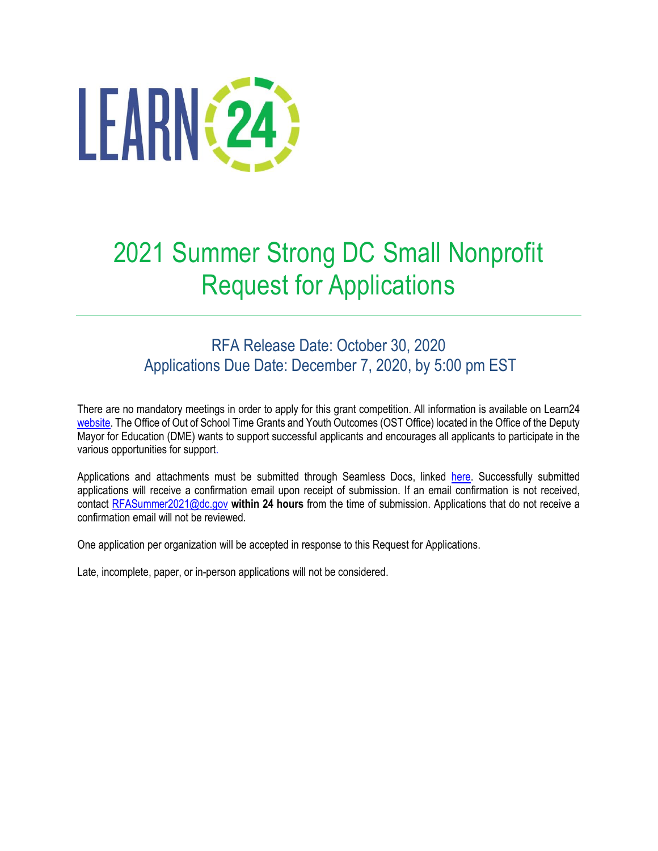

# 2021 Summer Strong DC Small Nonprofit Request for Applications

## RFA Release Date: October 30, 2020 Applications Due Date: December 7, 2020, by 5:00 pm EST

There are no mandatory meetings in order to apply for this grant competition. All information is available on Learn24 [website.](https://learn24.dc.gov/) The Office of Out of School Time Grants and Youth Outcomes (OST Office) located in the Office of the Deputy Mayor for Education (DME) wants to support successful applicants and encourages all applicants to participate in the various opportunities for support.

Applications and attachments must be submitted through Seamless Docs, linked [here.](http://dcgov.seamlessdocs.com/f/2021SummerStrongSNPRFA) Successfully submitted applications will receive a confirmation email upon receipt of submission. If an email confirmation is not received, contact [RFASummer2021@dc.gov](mailto:RFASummer2021@dc.gov) **within 24 hours** from the time of submission. Applications that do not receive a confirmation email will not be reviewed.

One application per organization will be accepted in response to this Request for Applications.

Late, incomplete, paper, or in-person applications will not be considered.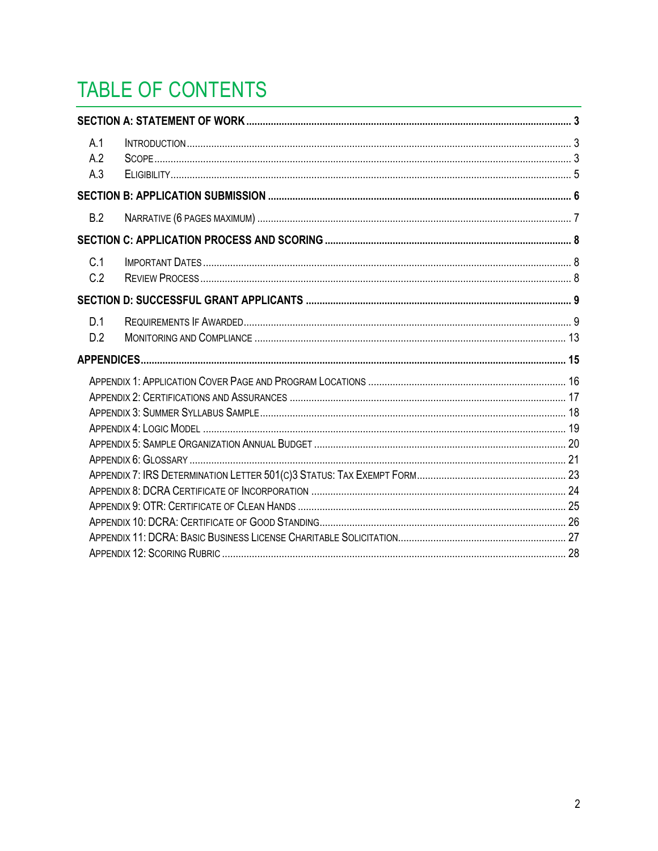# TABLE OF CONTENTS

| A.1<br>A.2<br>A.3 |  |
|-------------------|--|
|                   |  |
| B.2               |  |
|                   |  |
| C.1<br>C.2        |  |
|                   |  |
| D.1<br>D.2        |  |
|                   |  |
|                   |  |
|                   |  |
|                   |  |
|                   |  |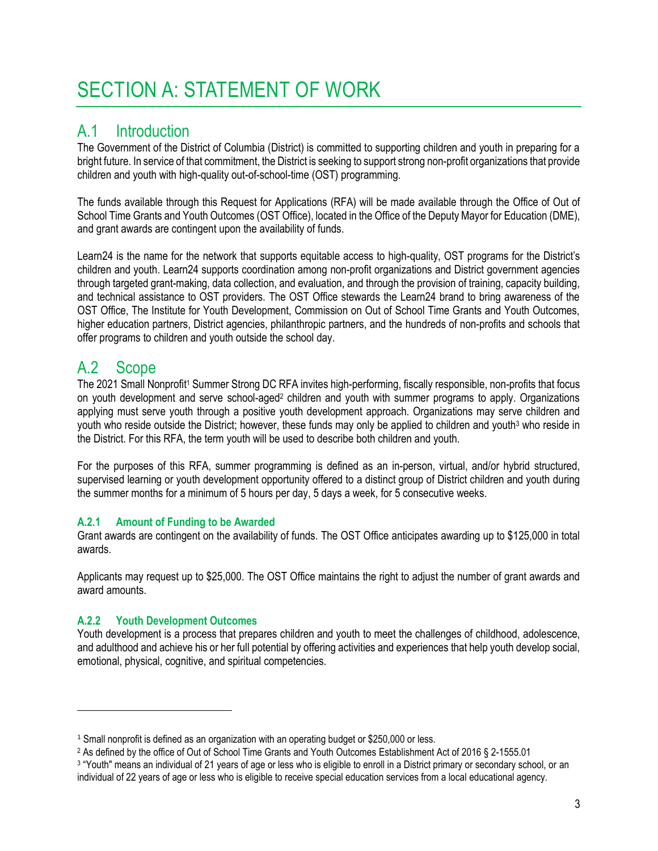# <span id="page-2-0"></span>SECTION A: STATEMENT OF WORK

## <span id="page-2-1"></span>A.1 Introduction

The Government of the District of Columbia (District) is committed to supporting children and youth in preparing for a bright future. In service of that commitment, the District is seeking to support strong non-profit organizations that provide children and youth with high-quality out-of-school-time (OST) programming.

The funds available through this Request for Applications (RFA) will be made available through the Office of Out of School Time Grants and Youth Outcomes (OST Office), located in the Office of the Deputy Mayor for Education (DME), and grant awards are contingent upon the availability of funds.

Learn24 is the name for the network that supports equitable access to high-quality, OST programs for the District's children and youth. Learn24 supports coordination among non-profit organizations and District government agencies through targeted grant-making, data collection, and evaluation, and through the provision of training, capacity building, and technical assistance to OST providers. The OST Office stewards the Learn24 brand to bring awareness of the OST Office, The Institute for Youth Development, Commission on Out of School Time Grants and Youth Outcomes, higher education partners, District agencies, philanthropic partners, and the hundreds of non-profits and schools that offer programs to children and youth outside the school day.

## <span id="page-2-2"></span>A.2 Scope

The 2021 Small Nonprofit<sup>1</sup> Summer Strong DC RFA invites high-performing, fiscally responsible, non-profits that focus on youth development and serve school-aged<sup>2</sup> children and youth with summer programs to apply. Organizations applying must serve youth through a positive youth development approach. Organizations may serve children and youth who reside outside the District; however, these funds may only be applied to children and youth<sup>3</sup> who reside in the District. For this RFA, the term youth will be used to describe both children and youth.

For the purposes of this RFA, summer programming is defined as an in-person, virtual, and/or hybrid structured, supervised learning or youth development opportunity offered to a distinct group of District children and youth during the summer months for a minimum of 5 hours per day, 5 days a week, for 5 consecutive weeks.

#### **A.2.1 Amount of Funding to be Awarded**

Grant awards are contingent on the availability of funds. The OST Office anticipates awarding up to \$125,000 in total awards.

Applicants may request up to \$25,000. The OST Office maintains the right to adjust the number of grant awards and award amounts.

#### **A.2.2 Youth Development Outcomes**

Youth development is a process that prepares children and youth to meet the challenges of childhood, adolescence, and adulthood and achieve his or her full potential by offering activities and experiences that help youth develop social, emotional, physical, cognitive, and spiritual competencies.

<sup>&</sup>lt;sup>1</sup> Small nonprofit is defined as an organization with an operating budget or \$250,000 or less.

<sup>2</sup> As defined by the office of Out of School Time Grants and Youth Outcomes Establishment Act of 2016 § 2-1555.01

<sup>3</sup> "Youth" means an individual of 21 years of age or less who is eligible to enroll in a District primary or secondary school, or an individual of 22 years of age or less who is eligible to receive special education services from a local educational agency.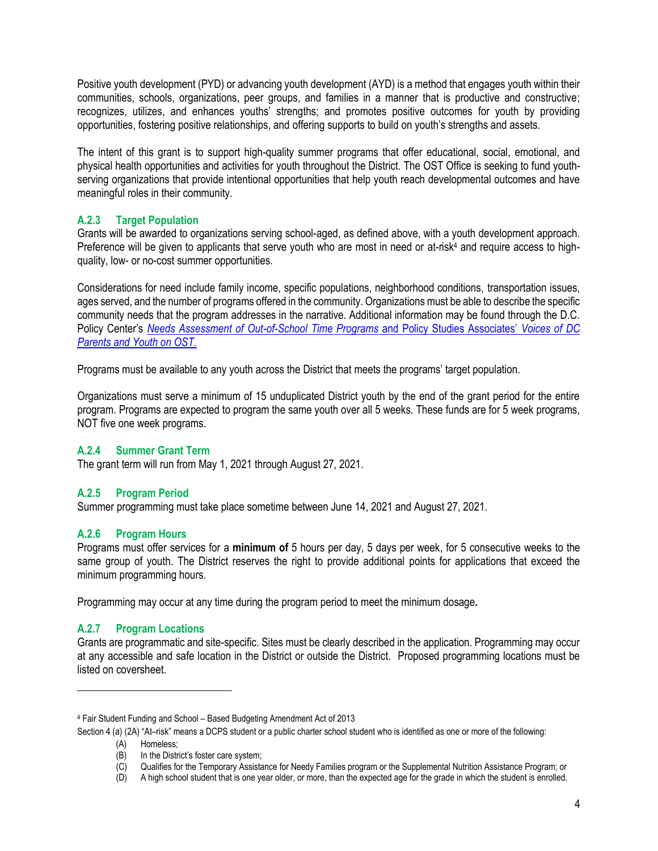Positive youth development (PYD) or advancing youth development (AYD) is a method that engages youth within their communities, schools, organizations, peer groups, and families in a manner that is productive and constructive; recognizes, utilizes, and enhances youths' strengths; and promotes positive outcomes for youth by providing opportunities, fostering positive relationships, and offering supports to build on youth's strengths and assets.

The intent of this grant is to support high-quality summer programs that offer educational, social, emotional, and physical health opportunities and activities for youth throughout the District. The OST Office is seeking to fund youthserving organizations that provide intentional opportunities that help youth reach developmental outcomes and have meaningful roles in their community.

#### **A.2.3 Target Population**

Grants will be awarded to organizations serving school-aged, as defined above, with a youth development approach. Preference will be given to applicants that serve youth who are most in need or at-risk<sup>4</sup> and require access to highquality, low- or no-cost summer opportunities.

Considerations for need include family income, specific populations, neighborhood conditions, transportation issues, ages served, and the number of programs offered in the community. Organizations must be able to describe the specific community needs that the program addresses in the narrative. Additional information may be found through the D.C. Policy Center's *[Needs Assessment of Out-of-School Time Programs](https://www.dcpolicycenter.org/wp-content/uploads/2017/10/FINAL-OST-NEEDS-ASSESSMENT.OCTOBER2017-1.pdf)* and Policy Studies Associates' *[Voices of DC](https://static1.squarespace.com/static/59d23c4c64b05f05702d7574/t/5c06b967562fa76ae69792ec/1543944552984/Learn24-+Voices+of+DC+Parents+and+Youth+on+OST-December+2018.pdf)  [Parents and Youth on OST.](https://static1.squarespace.com/static/59d23c4c64b05f05702d7574/t/5c06b967562fa76ae69792ec/1543944552984/Learn24-+Voices+of+DC+Parents+and+Youth+on+OST-December+2018.pdf)*

Programs must be available to any youth across the District that meets the programs' target population.

Organizations must serve a minimum of 15 unduplicated District youth by the end of the grant period for the entire program. Programs are expected to program the same youth over all 5 weeks. These funds are for 5 week programs, NOT five one week programs.

#### **A.2.4 Summer Grant Term**

The grant term will run from May 1, 2021 through August 27, 2021.

#### **A.2.5 Program Period**

Summer programming must take place sometime between June 14, 2021 and August 27, 2021.

#### **A.2.6 Program Hours**

Programs must offer services for a **minimum of** 5 hours per day, 5 days per week, for 5 consecutive weeks to the same group of youth. The District reserves the right to provide additional points for applications that exceed the minimum programming hours.

Programming may occur at any time during the program period to meet the minimum dosage**.** 

#### **A.2.7 Program Locations**

Grants are programmatic and site-specific. Sites must be clearly described in the application. Programming may occur at any accessible and safe location in the District or outside the District. Proposed programming locations must be listed on coversheet.

Section 4 (a) (2A) "At-risk" means a DCPS student or a public charter school student who is identified as one or more of the following:

<sup>4</sup> Fair Student Funding and School – Based Budgeting Amendment Act of 2013

<sup>(</sup>A) Homeless;<br>(B) In the Distri In the District's foster care system;

<sup>(</sup>C) Qualifies for the Temporary Assistance for Needy Families program or the Supplemental Nutrition Assistance Program; or

<sup>(</sup>D) A high school student that is one year older, or more, than the expected age for the grade in which the student is enrolled.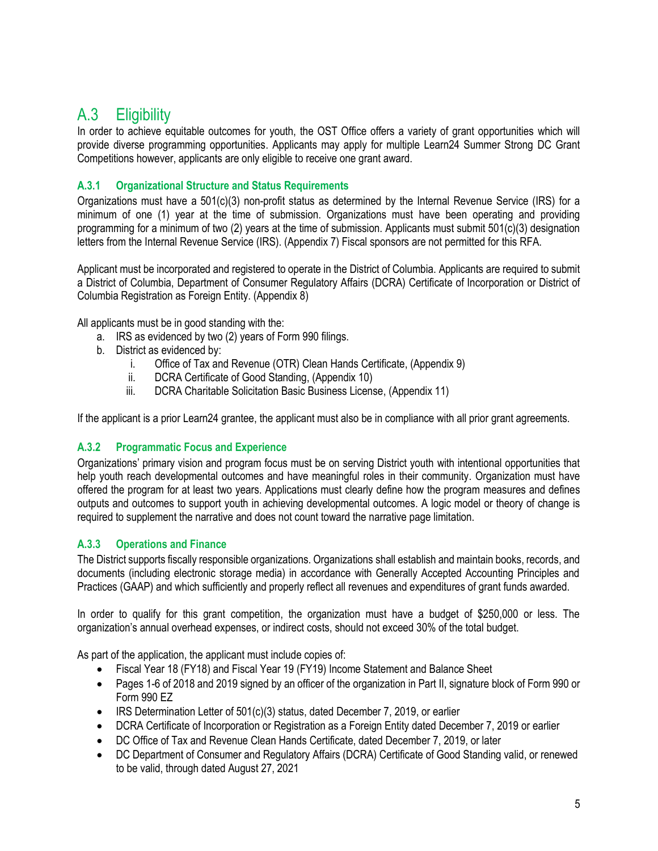## <span id="page-4-0"></span>A.3 Eligibility

In order to achieve equitable outcomes for youth, the OST Office offers a variety of grant opportunities which will provide diverse programming opportunities. Applicants may apply for multiple Learn24 Summer Strong DC Grant Competitions however, applicants are only eligible to receive one grant award.

#### **A.3.1 Organizational Structure and Status Requirements**

Organizations must have a 501(c)(3) non-profit status as determined by the Internal Revenue Service (IRS) for a minimum of one (1) year at the time of submission. Organizations must have been operating and providing programming for a minimum of two (2) years at the time of submission. Applicants must submit 501(c)(3) designation letters from the Internal Revenue Service (IRS). (Appendix 7) Fiscal sponsors are not permitted for this RFA.

Applicant must be incorporated and registered to operate in the District of Columbia. Applicants are required to submit a District of Columbia, Department of Consumer Regulatory Affairs (DCRA) Certificate of Incorporation or District of Columbia Registration as Foreign Entity. (Appendix 8)

All applicants must be in good standing with the:

- a. IRS as evidenced by two (2) years of Form 990 filings.
- b. District as evidenced by:
	- i. Office of Tax and Revenue (OTR) Clean Hands Certificate, (Appendix 9)
	- ii. DCRA Certificate of Good Standing, (Appendix 10)
	- iii. DCRA Charitable Solicitation Basic Business License, (Appendix 11)

If the applicant is a prior Learn24 grantee, the applicant must also be in compliance with all prior grant agreements.

#### **A.3.2 Programmatic Focus and Experience**

Organizations' primary vision and program focus must be on serving District youth with intentional opportunities that help youth reach developmental outcomes and have meaningful roles in their community. Organization must have offered the program for at least two years. Applications must clearly define how the program measures and defines outputs and outcomes to support youth in achieving developmental outcomes. A logic model or theory of change is required to supplement the narrative and does not count toward the narrative page limitation.

#### **A.3.3 Operations and Finance**

The District supports fiscally responsible organizations. Organizations shall establish and maintain books, records, and documents (including electronic storage media) in accordance with Generally Accepted Accounting Principles and Practices (GAAP) and which sufficiently and properly reflect all revenues and expenditures of grant funds awarded.

In order to qualify for this grant competition, the organization must have a budget of \$250,000 or less. The organization's annual overhead expenses, or indirect costs, should not exceed 30% of the total budget.

As part of the application, the applicant must include copies of:

- Fiscal Year 18 (FY18) and Fiscal Year 19 (FY19) Income Statement and Balance Sheet
- Pages 1-6 of 2018 and 2019 signed by an officer of the organization in Part II, signature block of Form 990 or Form 990 EZ
- IRS Determination Letter of 501(c)(3) status, dated December 7, 2019, or earlier
- DCRA Certificate of Incorporation or Registration as a Foreign Entity dated December 7, 2019 or earlier
- DC Office of Tax and Revenue Clean Hands Certificate, dated December 7, 2019, or later
- DC Department of Consumer and Regulatory Affairs (DCRA) Certificate of Good Standing valid, or renewed to be valid, through dated August 27, 2021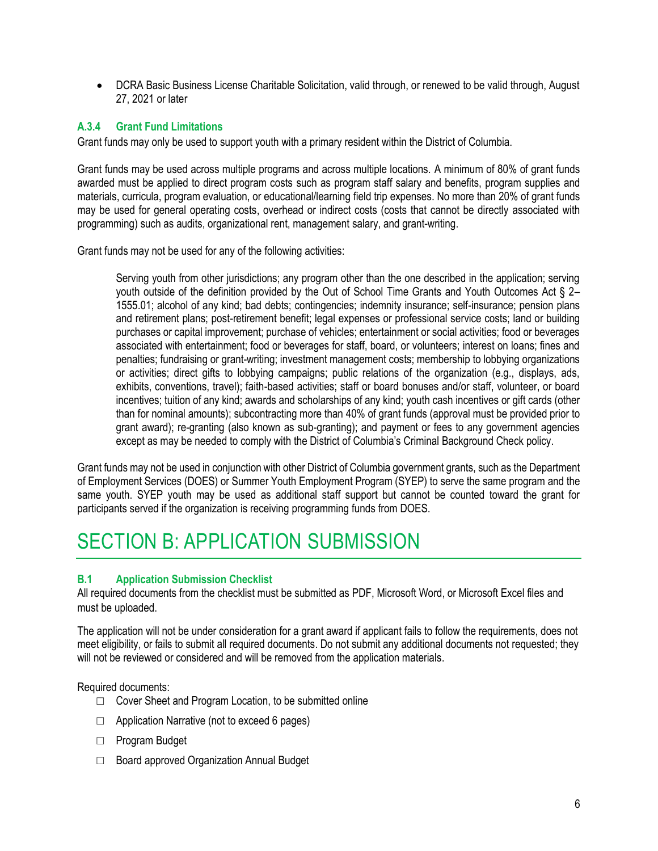• DCRA Basic Business License Charitable Solicitation, valid through, or renewed to be valid through, August 27, 2021 or later

#### **A.3.4 Grant Fund Limitations**

Grant funds may only be used to support youth with a primary resident within the District of Columbia.

Grant funds may be used across multiple programs and across multiple locations. A minimum of 80% of grant funds awarded must be applied to direct program costs such as program staff salary and benefits, program supplies and materials, curricula, program evaluation, or educational/learning field trip expenses. No more than 20% of grant funds may be used for general operating costs, overhead or indirect costs (costs that cannot be directly associated with programming) such as audits, organizational rent, management salary, and grant-writing.

Grant funds may not be used for any of the following activities:

Serving youth from other jurisdictions; any program other than the one described in the application; serving youth outside of the definition provided by the Out of School Time Grants and Youth Outcomes Act § 2– 1555.01; alcohol of any kind; bad debts; contingencies; indemnity insurance; self-insurance; pension plans and retirement plans; post-retirement benefit; legal expenses or professional service costs; land or building purchases or capital improvement; purchase of vehicles; entertainment or social activities; food or beverages associated with entertainment; food or beverages for staff, board, or volunteers; interest on loans; fines and penalties; fundraising or grant-writing; investment management costs; membership to lobbying organizations or activities; direct gifts to lobbying campaigns; public relations of the organization (e.g., displays, ads, exhibits, conventions, travel); faith-based activities; staff or board bonuses and/or staff, volunteer, or board incentives; tuition of any kind; awards and scholarships of any kind; youth cash incentives or gift cards (other than for nominal amounts); subcontracting more than 40% of grant funds (approval must be provided prior to grant award); re-granting (also known as sub-granting); and payment or fees to any government agencies except as may be needed to comply with the District of Columbia's Criminal Background Check policy.

Grant funds may not be used in conjunction with other District of Columbia government grants, such as the Department of Employment Services (DOES) or Summer Youth Employment Program (SYEP) to serve the same program and the same youth. SYEP youth may be used as additional staff support but cannot be counted toward the grant for participants served if the organization is receiving programming funds from DOES.

## <span id="page-5-0"></span>SECTION B: APPLICATION SUBMISSION

#### **B.1 Application Submission Checklist**

All required documents from the checklist must be submitted as PDF, Microsoft Word, or Microsoft Excel files and must be uploaded.

The application will not be under consideration for a grant award if applicant fails to follow the requirements, does not meet eligibility, or fails to submit all required documents. Do not submit any additional documents not requested; they will not be reviewed or considered and will be removed from the application materials.

Required documents:

- $\Box$  Cover Sheet and Program Location, to be submitted online
- □ Application Narrative (not to exceed 6 pages)
- □ Program Budget
- □ Board approved Organization Annual Budget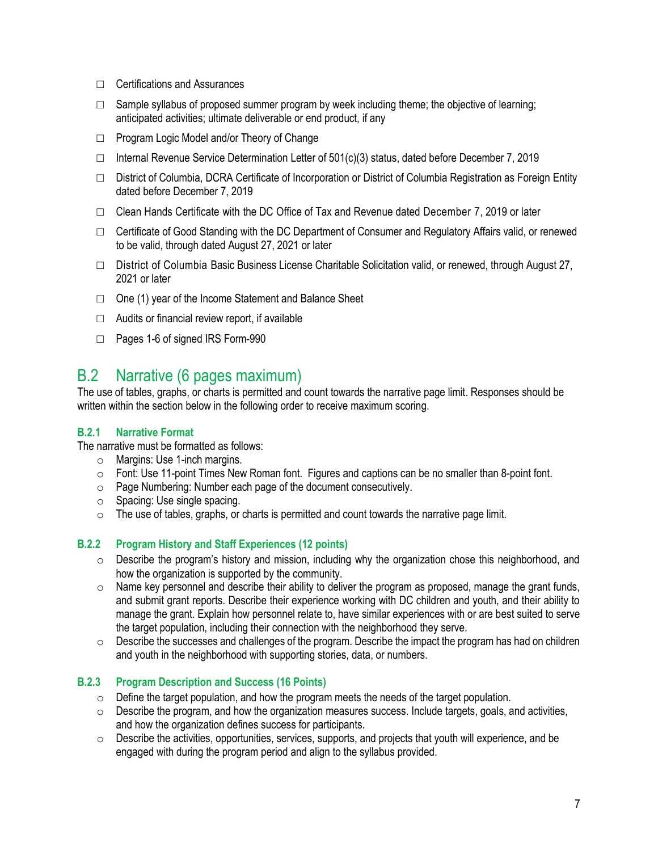- □ Certifications and Assurances
- $\Box$  Sample syllabus of proposed summer program by week including theme; the objective of learning; anticipated activities; ultimate deliverable or end product, if any
- □ Program Logic Model and/or Theory of Change
- $\Box$  Internal Revenue Service Determination Letter of 501(c)(3) status, dated before December 7, 2019
- □ District of Columbia, DCRA Certificate of Incorporation or District of Columbia Registration as Foreign Entity dated before December 7, 2019
- $\Box$  Clean Hands Certificate with the DC Office of Tax and Revenue dated December 7, 2019 or later
- $\Box$  Certificate of Good Standing with the DC Department of Consumer and Regulatory Affairs valid, or renewed to be valid, through dated August 27, 2021 or later
- □ District of Columbia Basic Business License Charitable Solicitation valid, or renewed, through August 27, 2021 or later
- □ One (1) year of the Income Statement and Balance Sheet
- $\Box$  Audits or financial review report, if available
- □ Pages 1-6 of signed IRS Form-990

## <span id="page-6-0"></span>B.2 Narrative (6 pages maximum)

The use of tables, graphs, or charts is permitted and count towards the narrative page limit. Responses should be written within the section below in the following order to receive maximum scoring.

#### **B.2.1 Narrative Format**

The narrative must be formatted as follows:

- o Margins: Use 1-inch margins.
- $\circ$  Font: Use 11-point Times New Roman font. Figures and captions can be no smaller than 8-point font.
- o Page Numbering: Number each page of the document consecutively.
- o Spacing: Use single spacing.
- o The use of tables, graphs, or charts is permitted and count towards the narrative page limit.

#### **B.2.2 Program History and Staff Experiences (12 points)**

- $\circ$  Describe the program's history and mission, including why the organization chose this neighborhood, and how the organization is supported by the community.
- $\circ$  Name key personnel and describe their ability to deliver the program as proposed, manage the grant funds, and submit grant reports. Describe their experience working with DC children and youth, and their ability to manage the grant. Explain how personnel relate to, have similar experiences with or are best suited to serve the target population, including their connection with the neighborhood they serve.
- $\circ$  Describe the successes and challenges of the program. Describe the impact the program has had on children and youth in the neighborhood with supporting stories, data, or numbers.

#### **B.2.3 Program Description and Success (16 Points)**

- $\circ$  Define the target population, and how the program meets the needs of the target population.
- $\circ$  Describe the program, and how the organization measures success. Include targets, goals, and activities, and how the organization defines success for participants.
- o Describe the activities, opportunities, services, supports, and projects that youth will experience, and be engaged with during the program period and align to the syllabus provided.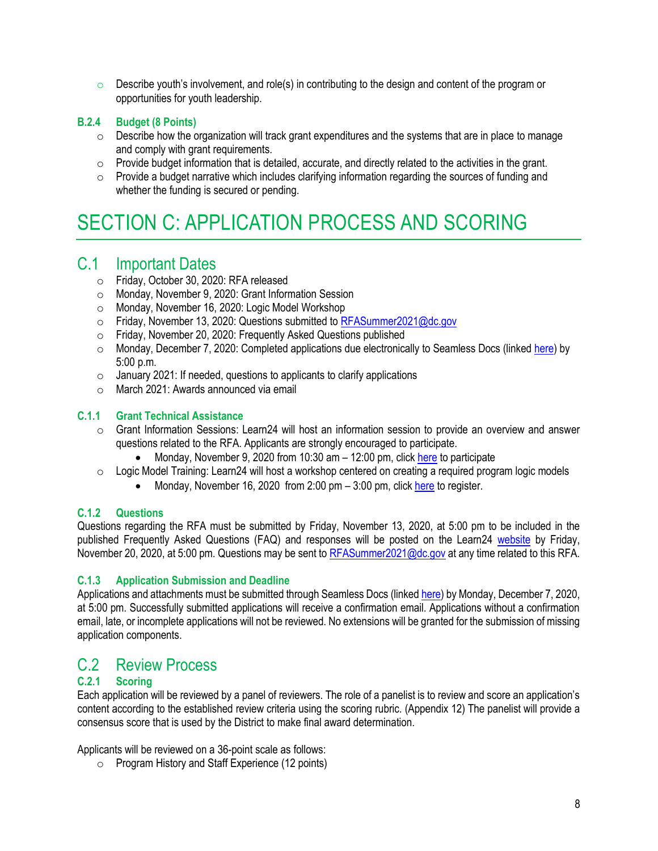$\circ$  Describe youth's involvement, and role(s) in contributing to the design and content of the program or opportunities for youth leadership.

#### **B.2.4 Budget (8 Points)**

- o Describe how the organization will track grant expenditures and the systems that are in place to manage and comply with grant requirements.
- $\circ$  Provide budget information that is detailed, accurate, and directly related to the activities in the grant.
- $\circ$  Provide a budget narrative which includes clarifying information regarding the sources of funding and whether the funding is secured or pending.

## <span id="page-7-0"></span>SECTION C: APPLICATION PROCESS AND SCORING

### <span id="page-7-1"></span>C.1 Important Dates

- o Friday, October 30, 2020: RFA released
- o Monday, November 9, 2020: Grant Information Session
- o Monday, November 16, 2020: Logic Model Workshop
- o Friday, November 13, 2020: Questions submitted to [RFASummer2021@dc.gov](mailto:RFASummer2021@dc.gov)
- o Friday, November 20, 2020: Frequently Asked Questions published
- o Monday, December 7, 2020: Completed applications due electronically to Seamless Docs (linked [here\)](http://dcgov.seamlessdocs.com/f/2021SummerStrongSNPRFA) by 5:00 p.m.
- $\circ$  January 2021: If needed, questions to applicants to clarify applications
- o March 2021: Awards announced via email

#### **C.1.1 Grant Technical Assistance**

- o Grant Information Sessions: Learn24 will host an information session to provide an overview and answer questions related to the RFA. Applicants are strongly encouraged to participate.
	- Monday, November 9, 2020 from 10:30 am  $-$  12:00 pm, clic[k here](https://dcnet.webex.com/dcnet/onstage/g.php?MTID=e468ed03f18dd0aecbe9c9f115370189c) to participate
- $\circ$  Logic Model Training: Learn24 will host a workshop centered on creating a required program logic models
	- Monday, November 16, 2020 from 2:00 pm  $-$  3:00 pm, click [here](https://www.eventbrite.com/e/126336603181) to register.

#### **C.1.2 Questions**

Questions regarding the RFA must be submitted by Friday, November 13, 2020, at 5:00 pm to be included in the published Frequently Asked Questions (FAQ) and responses will be posted on the Learn24 [website](https://learn24.dc.gov/) by Friday, November 20, 2020, at 5:00 pm. Questions may be sent t[o RFASummer2021@dc.gov](mailto:RFASummer2021@dc.gov) at any time related to this RFA.

#### **C.1.3 Application Submission and Deadline**

Applications and attachments must be submitted through Seamless Docs (linke[d here\)](http://dcgov.seamlessdocs.com/f/2021SummerStrongSNPRFA) by Monday, December 7, 2020, at 5:00 pm. Successfully submitted applications will receive a confirmation email. Applications without a confirmation email, late, or incomplete applications will not be reviewed. No extensions will be granted for the submission of missing application components.

## <span id="page-7-2"></span>C.2 Review Process

#### **C.2.1 Scoring**

Each application will be reviewed by a panel of reviewers. The role of a panelist is to review and score an application's content according to the established review criteria using the scoring rubric. (Appendix 12) The panelist will provide a consensus score that is used by the District to make final award determination.

Applicants will be reviewed on a 36-point scale as follows:

o Program History and Staff Experience (12 points)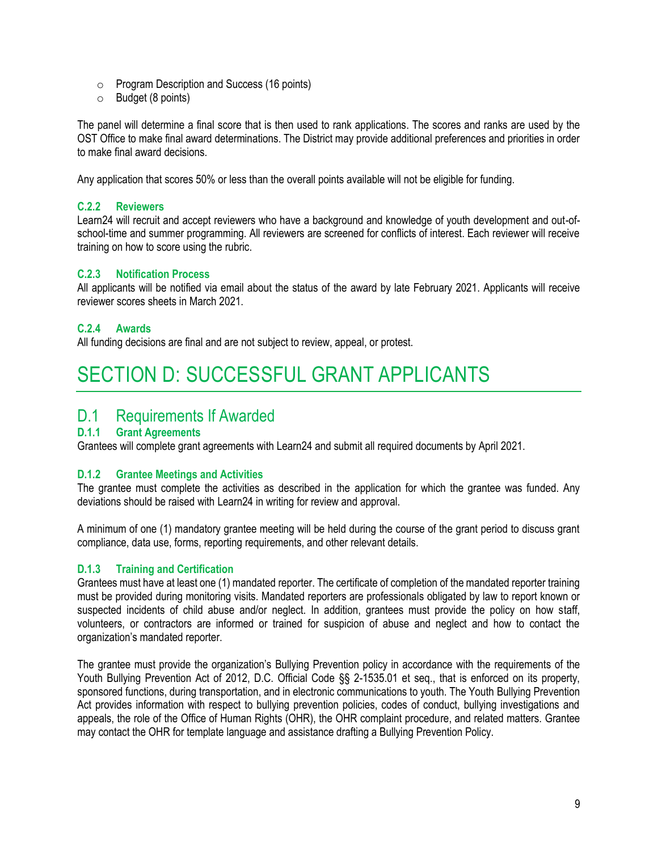- o Program Description and Success (16 points)
- o Budget (8 points)

The panel will determine a final score that is then used to rank applications. The scores and ranks are used by the OST Office to make final award determinations. The District may provide additional preferences and priorities in order to make final award decisions.

Any application that scores 50% or less than the overall points available will not be eligible for funding.

#### **C.2.2 Reviewers**

Learn24 will recruit and accept reviewers who have a background and knowledge of youth development and out-ofschool-time and summer programming. All reviewers are screened for conflicts of interest. Each reviewer will receive training on how to score using the rubric.

#### **C.2.3 Notification Process**

All applicants will be notified via email about the status of the award by late February 2021. Applicants will receive reviewer scores sheets in March 2021.

#### **C.2.4 Awards**

All funding decisions are final and are not subject to review, appeal, or protest.

## <span id="page-8-0"></span>SECTION D: SUCCESSFUL GRANT APPLICANTS

### <span id="page-8-1"></span>D.1 Requirements If Awarded

#### **D.1.1 Grant Agreements**

Grantees will complete grant agreements with Learn24 and submit all required documents by April 2021.

#### **D.1.2 Grantee Meetings and Activities**

The grantee must complete the activities as described in the application for which the grantee was funded. Any deviations should be raised with Learn24 in writing for review and approval.

A minimum of one (1) mandatory grantee meeting will be held during the course of the grant period to discuss grant compliance, data use, forms, reporting requirements, and other relevant details.

#### **D.1.3 Training and Certification**

Grantees must have at least one (1) mandated reporter. The certificate of completion of the mandated reporter training must be provided during monitoring visits. Mandated reporters are professionals obligated by law to report known or suspected incidents of child abuse and/or neglect. In addition, grantees must provide the policy on how staff, volunteers, or contractors are informed or trained for suspicion of abuse and neglect and how to contact the organization's mandated reporter.

The grantee must provide the organization's Bullying Prevention policy in accordance with the requirements of the Youth Bullying Prevention Act of 2012, D.C. Official Code §§ 2-1535.01 et seq., that is enforced on its property, sponsored functions, during transportation, and in electronic communications to youth. The Youth Bullying Prevention Act provides information with respect to bullying prevention policies, codes of conduct, bullying investigations and appeals, the role of the Office of Human Rights (OHR), the OHR complaint procedure, and related matters. Grantee may contact the OHR for template language and assistance drafting a Bullying Prevention Policy.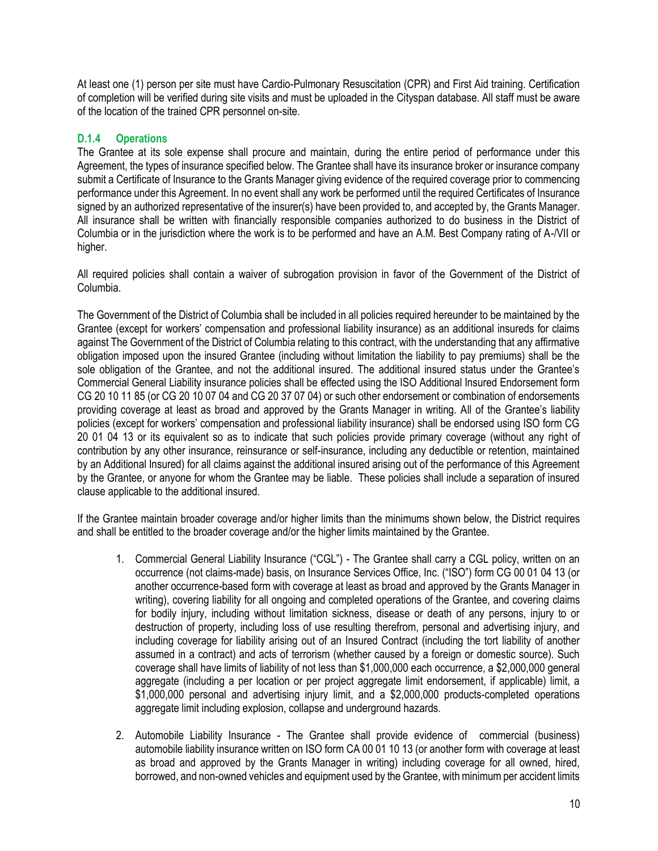At least one (1) person per site must have Cardio-Pulmonary Resuscitation (CPR) and First Aid training. Certification of completion will be verified during site visits and must be uploaded in the Cityspan database. All staff must be aware of the location of the trained CPR personnel on-site.

#### **D.1.4 Operations**

The Grantee at its sole expense shall procure and maintain, during the entire period of performance under this Agreement, the types of insurance specified below. The Grantee shall have its insurance broker or insurance company submit a Certificate of Insurance to the Grants Manager giving evidence of the required coverage prior to commencing performance under this Agreement. In no event shall any work be performed until the required Certificates of Insurance signed by an authorized representative of the insurer(s) have been provided to, and accepted by, the Grants Manager. All insurance shall be written with financially responsible companies authorized to do business in the District of Columbia or in the jurisdiction where the work is to be performed and have an A.M. Best Company rating of A-/VII or higher.

All required policies shall contain a waiver of subrogation provision in favor of the Government of the District of Columbia.

The Government of the District of Columbia shall be included in all policies required hereunder to be maintained by the Grantee (except for workers' compensation and professional liability insurance) as an additional insureds for claims against The Government of the District of Columbia relating to this contract, with the understanding that any affirmative obligation imposed upon the insured Grantee (including without limitation the liability to pay premiums) shall be the sole obligation of the Grantee, and not the additional insured. The additional insured status under the Grantee's Commercial General Liability insurance policies shall be effected using the ISO Additional Insured Endorsement form CG 20 10 11 85 (or CG 20 10 07 04 and CG 20 37 07 04) or such other endorsement or combination of endorsements providing coverage at least as broad and approved by the Grants Manager in writing. All of the Grantee's liability policies (except for workers' compensation and professional liability insurance) shall be endorsed using ISO form CG 20 01 04 13 or its equivalent so as to indicate that such policies provide primary coverage (without any right of contribution by any other insurance, reinsurance or self-insurance, including any deductible or retention, maintained by an Additional Insured) for all claims against the additional insured arising out of the performance of this Agreement by the Grantee, or anyone for whom the Grantee may be liable. These policies shall include a separation of insured clause applicable to the additional insured.

If the Grantee maintain broader coverage and/or higher limits than the minimums shown below, the District requires and shall be entitled to the broader coverage and/or the higher limits maintained by the Grantee.

- 1. Commercial General Liability Insurance ("CGL") The Grantee shall carry a CGL policy, written on an occurrence (not claims-made) basis, on Insurance Services Office, Inc. ("ISO") form CG 00 01 04 13 (or another occurrence-based form with coverage at least as broad and approved by the Grants Manager in writing), covering liability for all ongoing and completed operations of the Grantee, and covering claims for bodily injury, including without limitation sickness, disease or death of any persons, injury to or destruction of property, including loss of use resulting therefrom, personal and advertising injury, and including coverage for liability arising out of an Insured Contract (including the tort liability of another assumed in a contract) and acts of terrorism (whether caused by a foreign or domestic source). Such coverage shall have limits of liability of not less than \$1,000,000 each occurrence, a \$2,000,000 general aggregate (including a per location or per project aggregate limit endorsement, if applicable) limit, a \$1,000,000 personal and advertising injury limit, and a \$2,000,000 products-completed operations aggregate limit including explosion, collapse and underground hazards.
- 2. Automobile Liability Insurance The Grantee shall provide evidence of commercial (business) automobile liability insurance written on ISO form CA 00 01 10 13 (or another form with coverage at least as broad and approved by the Grants Manager in writing) including coverage for all owned, hired, borrowed, and non-owned vehicles and equipment used by the Grantee, with minimum per accident limits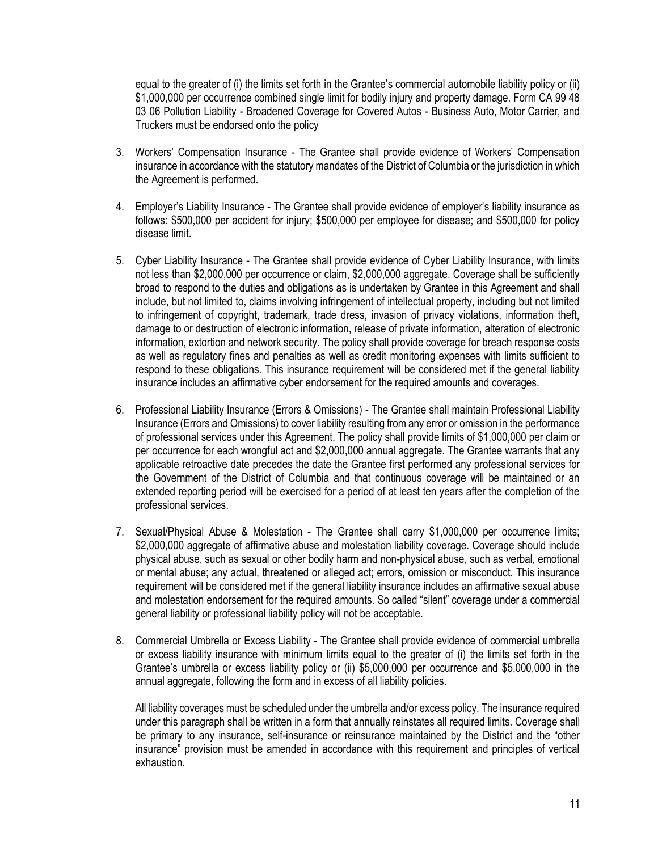equal to the greater of (i) the limits set forth in the Grantee's commercial automobile liability policy or (ii) \$1,000,000 per occurrence combined single limit for bodily injury and property damage. Form CA 99 48 03 06 Pollution Liability - Broadened Coverage for Covered Autos - Business Auto, Motor Carrier, and Truckers must be endorsed onto the policy

- 3. Workers' Compensation Insurance The Grantee shall provide evidence of Workers' Compensation insurance in accordance with the statutory mandates of the District of Columbia or the jurisdiction in which the Agreement is performed.
- 4. Employer's Liability Insurance The Grantee shall provide evidence of employer's liability insurance as follows: \$500,000 per accident for injury; \$500,000 per employee for disease; and \$500,000 for policy disease limit.
- 5. Cyber Liability Insurance The Grantee shall provide evidence of Cyber Liability Insurance, with limits not less than \$2,000,000 per occurrence or claim, \$2,000,000 aggregate. Coverage shall be sufficiently broad to respond to the duties and obligations as is undertaken by Grantee in this Agreement and shall include, but not limited to, claims involving infringement of intellectual property, including but not limited to infringement of copyright, trademark, trade dress, invasion of privacy violations, information theft, damage to or destruction of electronic information, release of private information, alteration of electronic information, extortion and network security. The policy shall provide coverage for breach response costs as well as regulatory fines and penalties as well as credit monitoring expenses with limits sufficient to respond to these obligations. This insurance requirement will be considered met if the general liability insurance includes an affirmative cyber endorsement for the required amounts and coverages.
- 6. Professional Liability Insurance (Errors & Omissions) The Grantee shall maintain Professional Liability Insurance (Errors and Omissions) to cover liability resulting from any error or omission in the performance of professional services under this Agreement. The policy shall provide limits of \$1,000,000 per claim or per occurrence for each wrongful act and \$2,000,000 annual aggregate. The Grantee warrants that any applicable retroactive date precedes the date the Grantee first performed any professional services for the Government of the District of Columbia and that continuous coverage will be maintained or an extended reporting period will be exercised for a period of at least ten years after the completion of the professional services.
- 7. Sexual/Physical Abuse & Molestation The Grantee shall carry \$1,000,000 per occurrence limits; \$2,000,000 aggregate of affirmative abuse and molestation liability coverage. Coverage should include physical abuse, such as sexual or other bodily harm and non-physical abuse, such as verbal, emotional or mental abuse; any actual, threatened or alleged act; errors, omission or misconduct. This insurance requirement will be considered met if the general liability insurance includes an affirmative sexual abuse and molestation endorsement for the required amounts. So called "silent" coverage under a commercial general liability or professional liability policy will not be acceptable.
- 8. Commercial Umbrella or Excess Liability The Grantee shall provide evidence of commercial umbrella or excess liability insurance with minimum limits equal to the greater of (i) the limits set forth in the Grantee's umbrella or excess liability policy or (ii) \$5,000,000 per occurrence and \$5,000,000 in the annual aggregate, following the form and in excess of all liability policies.

All liability coverages must be scheduled under the umbrella and/or excess policy. The insurance required under this paragraph shall be written in a form that annually reinstates all required limits. Coverage shall be primary to any insurance, self-insurance or reinsurance maintained by the District and the "other insurance" provision must be amended in accordance with this requirement and principles of vertical exhaustion.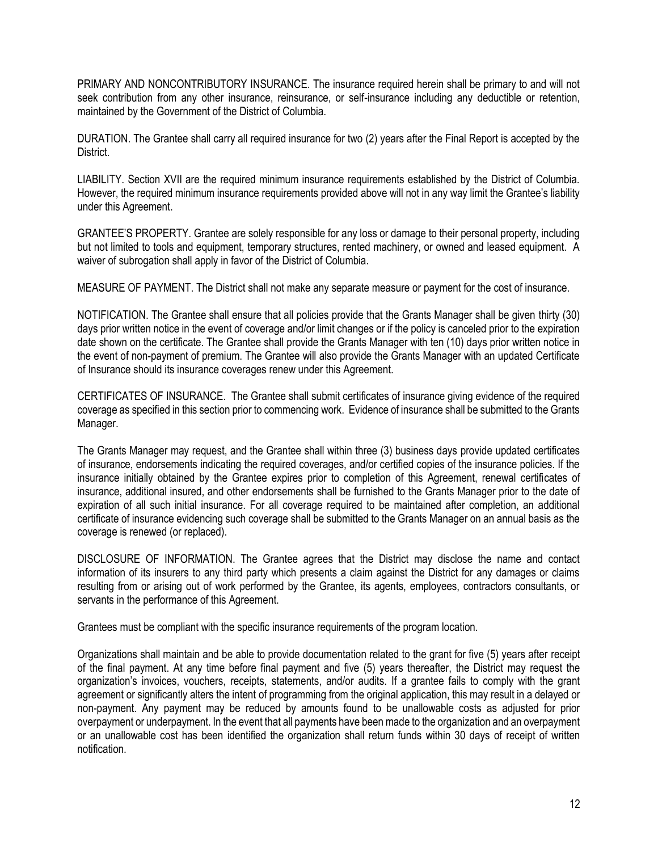PRIMARY AND NONCONTRIBUTORY INSURANCE. The insurance required herein shall be primary to and will not seek contribution from any other insurance, reinsurance, or self-insurance including any deductible or retention, maintained by the Government of the District of Columbia.

DURATION. The Grantee shall carry all required insurance for two (2) years after the Final Report is accepted by the District.

LIABILITY. Section XVII are the required minimum insurance requirements established by the District of Columbia. However, the required minimum insurance requirements provided above will not in any way limit the Grantee's liability under this Agreement.

GRANTEE'S PROPERTY. Grantee are solely responsible for any loss or damage to their personal property, including but not limited to tools and equipment, temporary structures, rented machinery, or owned and leased equipment. A waiver of subrogation shall apply in favor of the District of Columbia.

MEASURE OF PAYMENT. The District shall not make any separate measure or payment for the cost of insurance.

NOTIFICATION. The Grantee shall ensure that all policies provide that the Grants Manager shall be given thirty (30) days prior written notice in the event of coverage and/or limit changes or if the policy is canceled prior to the expiration date shown on the certificate. The Grantee shall provide the Grants Manager with ten (10) days prior written notice in the event of non-payment of premium. The Grantee will also provide the Grants Manager with an updated Certificate of Insurance should its insurance coverages renew under this Agreement.

CERTIFICATES OF INSURANCE. The Grantee shall submit certificates of insurance giving evidence of the required coverage as specified in this section prior to commencing work. Evidence of insurance shall be submitted to the Grants Manager.

The Grants Manager may request, and the Grantee shall within three (3) business days provide updated certificates of insurance, endorsements indicating the required coverages, and/or certified copies of the insurance policies. If the insurance initially obtained by the Grantee expires prior to completion of this Agreement, renewal certificates of insurance, additional insured, and other endorsements shall be furnished to the Grants Manager prior to the date of expiration of all such initial insurance. For all coverage required to be maintained after completion, an additional certificate of insurance evidencing such coverage shall be submitted to the Grants Manager on an annual basis as the coverage is renewed (or replaced).

DISCLOSURE OF INFORMATION. The Grantee agrees that the District may disclose the name and contact information of its insurers to any third party which presents a claim against the District for any damages or claims resulting from or arising out of work performed by the Grantee, its agents, employees, contractors consultants, or servants in the performance of this Agreement.

Grantees must be compliant with the specific insurance requirements of the program location.

Organizations shall maintain and be able to provide documentation related to the grant for five (5) years after receipt of the final payment. At any time before final payment and five (5) years thereafter, the District may request the organization's invoices, vouchers, receipts, statements, and/or audits. If a grantee fails to comply with the grant agreement or significantly alters the intent of programming from the original application, this may result in a delayed or non-payment. Any payment may be reduced by amounts found to be unallowable costs as adjusted for prior overpayment or underpayment. In the event that all payments have been made to the organization and an overpayment or an unallowable cost has been identified the organization shall return funds within 30 days of receipt of written notification.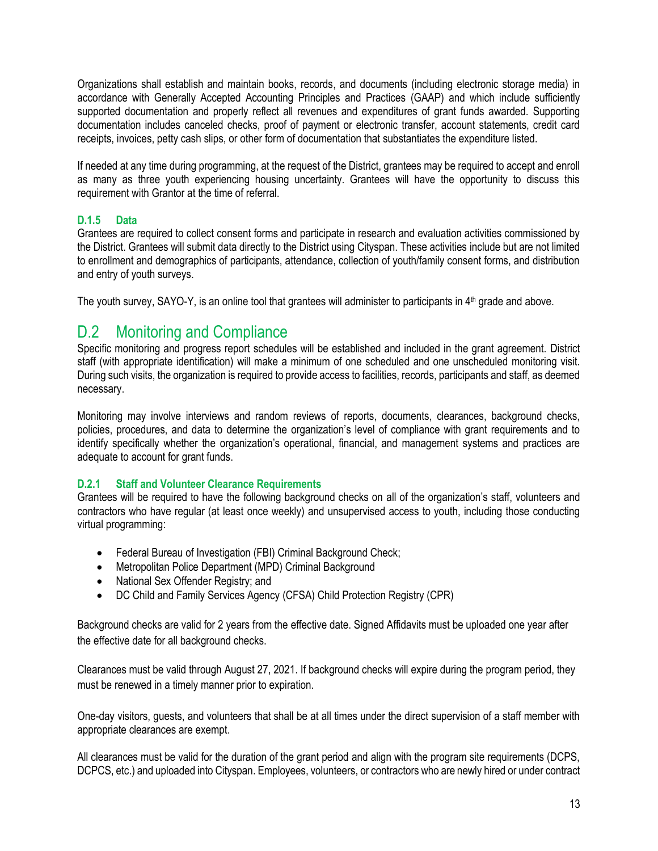Organizations shall establish and maintain books, records, and documents (including electronic storage media) in accordance with Generally Accepted Accounting Principles and Practices (GAAP) and which include sufficiently supported documentation and properly reflect all revenues and expenditures of grant funds awarded. Supporting documentation includes canceled checks, proof of payment or electronic transfer, account statements, credit card receipts, invoices, petty cash slips, or other form of documentation that substantiates the expenditure listed.

If needed at any time during programming, at the request of the District, grantees may be required to accept and enroll as many as three youth experiencing housing uncertainty. Grantees will have the opportunity to discuss this requirement with Grantor at the time of referral.

#### **D.1.5 Data**

Grantees are required to collect consent forms and participate in research and evaluation activities commissioned by the District. Grantees will submit data directly to the District using Cityspan. These activities include but are not limited to enrollment and demographics of participants, attendance, collection of youth/family consent forms, and distribution and entry of youth surveys.

The youth survey, SAYO-Y, is an online tool that grantees will administer to participants in 4<sup>th</sup> grade and above.

## <span id="page-12-0"></span>D.2 Monitoring and Compliance

Specific monitoring and progress report schedules will be established and included in the grant agreement. District staff (with appropriate identification) will make a minimum of one scheduled and one unscheduled monitoring visit. During such visits, the organization is required to provide access to facilities, records, participants and staff, as deemed necessary.

Monitoring may involve interviews and random reviews of reports, documents, clearances, background checks, policies, procedures, and data to determine the organization's level of compliance with grant requirements and to identify specifically whether the organization's operational, financial, and management systems and practices are adequate to account for grant funds.

#### **D.2.1 Staff and Volunteer Clearance Requirements**

Grantees will be required to have the following background checks on all of the organization's staff, volunteers and contractors who have regular (at least once weekly) and unsupervised access to youth, including those conducting virtual programming:

- Federal Bureau of Investigation (FBI) Criminal Background Check;
- Metropolitan Police Department (MPD) Criminal Background
- National Sex Offender Registry; and
- DC Child and Family Services Agency (CFSA) Child Protection Registry (CPR)

Background checks are valid for 2 years from the effective date. Signed Affidavits must be uploaded one year after the effective date for all background checks.

Clearances must be valid through August 27, 2021. If background checks will expire during the program period, they must be renewed in a timely manner prior to expiration.

One-day visitors, guests, and volunteers that shall be at all times under the direct supervision of a staff member with appropriate clearances are exempt.

All clearances must be valid for the duration of the grant period and align with the program site requirements (DCPS, DCPCS, etc.) and uploaded into Cityspan. Employees, volunteers, or contractors who are newly hired or under contract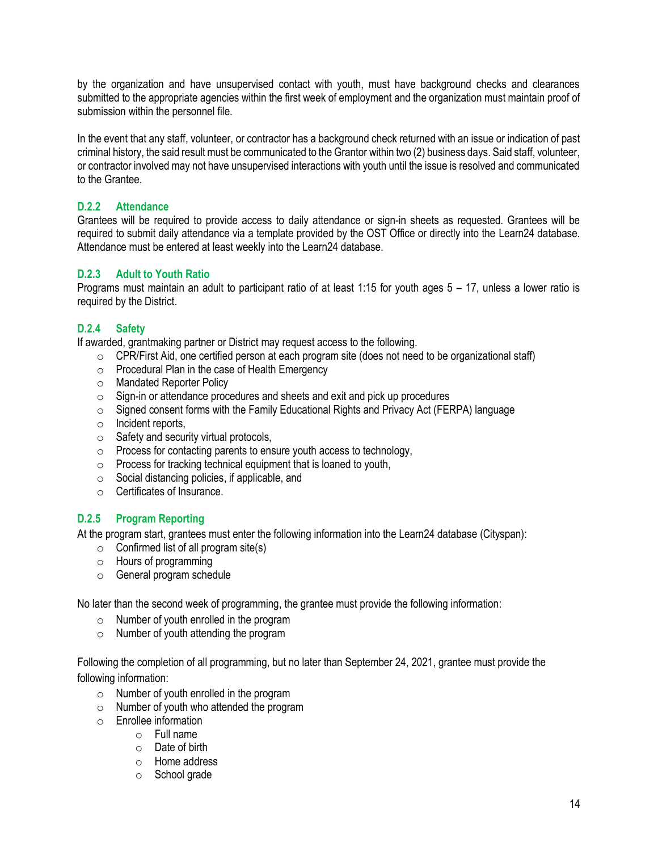by the organization and have unsupervised contact with youth, must have background checks and clearances submitted to the appropriate agencies within the first week of employment and the organization must maintain proof of submission within the personnel file.

In the event that any staff, volunteer, or contractor has a background check returned with an issue or indication of past criminal history, the said result must be communicated to the Grantor within two (2) business days. Said staff, volunteer, or contractor involved may not have unsupervised interactions with youth until the issue is resolved and communicated to the Grantee.

#### **D.2.2 Attendance**

Grantees will be required to provide access to daily attendance or sign-in sheets as requested. Grantees will be required to submit daily attendance via a template provided by the OST Office or directly into the Learn24 database. Attendance must be entered at least weekly into the Learn24 database.

#### **D.2.3 Adult to Youth Ratio**

Programs must maintain an adult to participant ratio of at least 1:15 for youth ages 5 – 17, unless a lower ratio is required by the District.

#### **D.2.4 Safety**

If awarded, grantmaking partner or District may request access to the following.

- $\circ$  CPR/First Aid, one certified person at each program site (does not need to be organizational staff)
- o Procedural Plan in the case of Health Emergency
- o Mandated Reporter Policy
- o Sign-in or attendance procedures and sheets and exit and pick up procedures
- $\circ$  Signed consent forms with the Family Educational Rights and Privacy Act (FERPA) language
- o Incident reports,
- o Safety and security virtual protocols,
- $\circ$  Process for contacting parents to ensure youth access to technology,
- $\circ$  Process for tracking technical equipment that is loaned to youth,
- o Social distancing policies, if applicable, and
- o Certificates of Insurance.

#### **D.2.5 Program Reporting**

At the program start, grantees must enter the following information into the Learn24 database (Cityspan):

- $\circ$  Confirmed list of all program site(s)
- o Hours of programming
- o General program schedule

No later than the second week of programming, the grantee must provide the following information:

- $\circ$  Number of youth enrolled in the program
- o Number of youth attending the program

Following the completion of all programming, but no later than September 24, 2021, grantee must provide the following information:

- $\circ$  Number of youth enrolled in the program
- o Number of youth who attended the program
- o Enrollee information
	- o Full name
		- $\circ$  Date of birth
		- o Home address
		- o School grade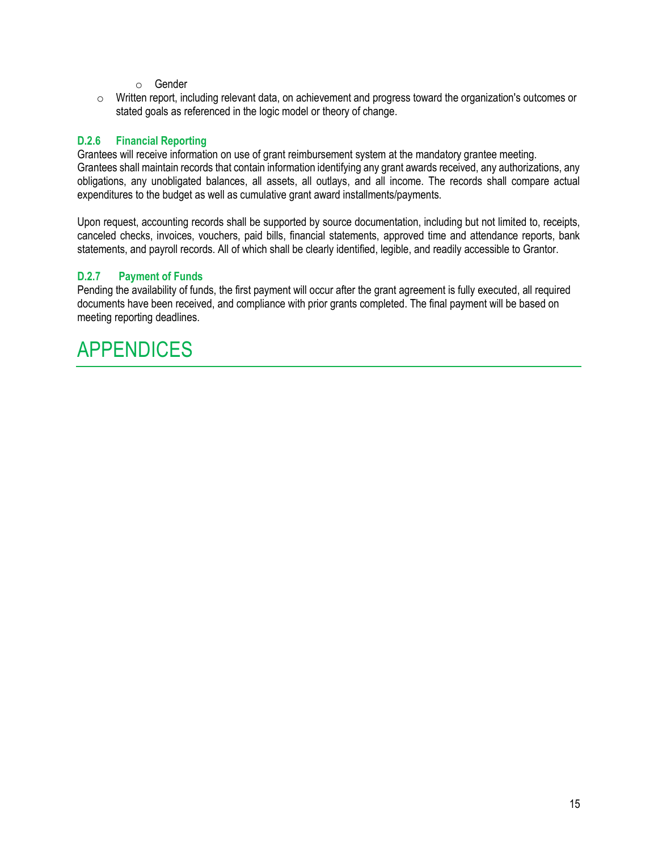- o Gender
- $\circ$  Written report, including relevant data, on achievement and progress toward the organization's outcomes or stated goals as referenced in the logic model or theory of change.

#### **D.2.6 Financial Reporting**

Grantees will receive information on use of grant reimbursement system at the mandatory grantee meeting. Grantees shall maintain records that contain information identifying any grant awards received, any authorizations, any obligations, any unobligated balances, all assets, all outlays, and all income. The records shall compare actual expenditures to the budget as well as cumulative grant award installments/payments.

Upon request, accounting records shall be supported by source documentation, including but not limited to, receipts, canceled checks, invoices, vouchers, paid bills, financial statements, approved time and attendance reports, bank statements, and payroll records. All of which shall be clearly identified, legible, and readily accessible to Grantor.

#### **D.2.7 Payment of Funds**

Pending the availability of funds, the first payment will occur after the grant agreement is fully executed, all required documents have been received, and compliance with prior grants completed. The final payment will be based on meeting reporting deadlines.

## <span id="page-14-0"></span>APPENDICES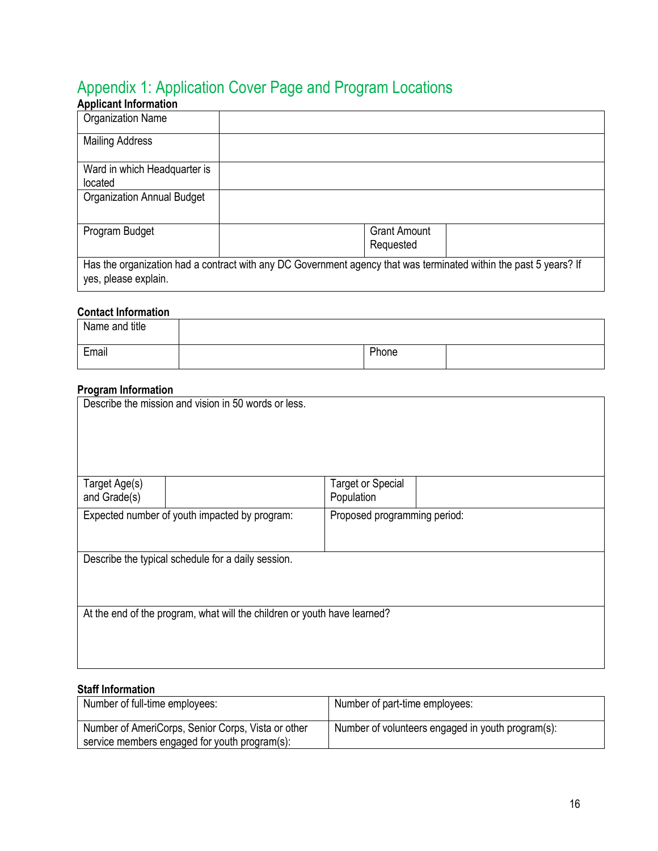## <span id="page-15-0"></span>Appendix 1: Application Cover Page and Program Locations

| <b>Applicant Information</b>      |                                                                                                                   |  |
|-----------------------------------|-------------------------------------------------------------------------------------------------------------------|--|
| <b>Organization Name</b>          |                                                                                                                   |  |
| <b>Mailing Address</b>            |                                                                                                                   |  |
| Ward in which Headquarter is      |                                                                                                                   |  |
| located                           |                                                                                                                   |  |
| <b>Organization Annual Budget</b> |                                                                                                                   |  |
| Program Budget                    | <b>Grant Amount</b>                                                                                               |  |
|                                   | Requested                                                                                                         |  |
| yes, please explain.              | Has the organization had a contract with any DC Government agency that was terminated within the past 5 years? If |  |

#### **Contact Information**

| Name and title |       |  |
|----------------|-------|--|
| Email          | Phone |  |

#### **Program Information**

|                                                                               | Describe the mission and vision in 50 words or less.                     |                          |  |  |  |
|-------------------------------------------------------------------------------|--------------------------------------------------------------------------|--------------------------|--|--|--|
| Target Age(s)                                                                 |                                                                          | <b>Target or Special</b> |  |  |  |
| and Grade(s)                                                                  |                                                                          | Population               |  |  |  |
| Expected number of youth impacted by program:<br>Proposed programming period: |                                                                          |                          |  |  |  |
| Describe the typical schedule for a daily session.                            |                                                                          |                          |  |  |  |
|                                                                               | At the end of the program, what will the children or youth have learned? |                          |  |  |  |

#### **Staff Information**

| Number of full-time employees:                                                                      | Number of part-time employees:                    |
|-----------------------------------------------------------------------------------------------------|---------------------------------------------------|
| Number of AmeriCorps, Senior Corps, Vista or other<br>service members engaged for youth program(s): | Number of volunteers engaged in youth program(s): |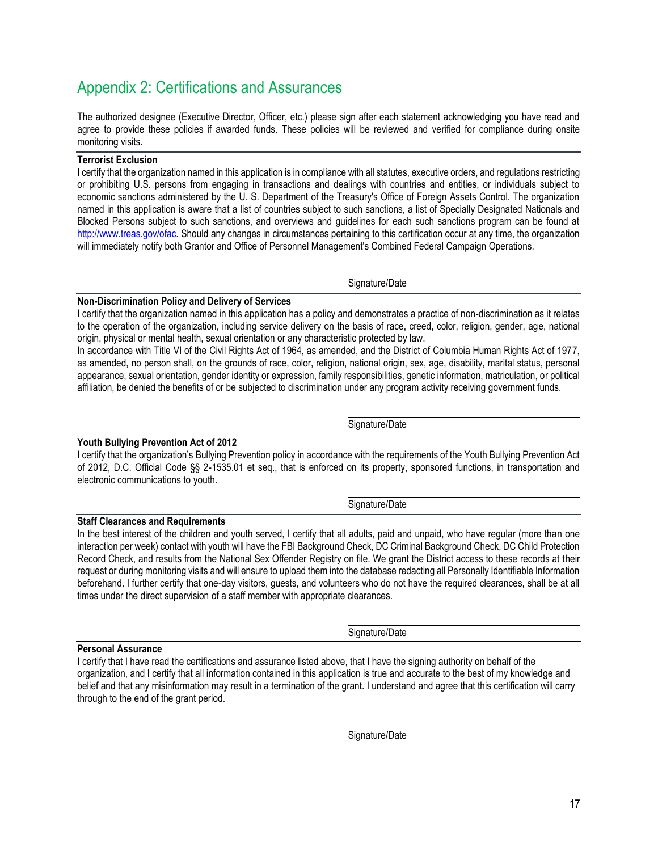## <span id="page-16-0"></span>Appendix 2: Certifications and Assurances

The authorized designee (Executive Director, Officer, etc.) please sign after each statement acknowledging you have read and agree to provide these policies if awarded funds. These policies will be reviewed and verified for compliance during onsite monitoring visits.

#### **Terrorist Exclusion**

I certify that the organization named in this application is in compliance with all statutes, executive orders, and regulations restricting or prohibiting U.S. persons from engaging in transactions and dealings with countries and entities, or individuals subject to economic sanctions administered by the U. S. Department of the Treasury's Office of Foreign Assets Control. The organization named in this application is aware that a list of countries subject to such sanctions, a list of Specially Designated Nationals and Blocked Persons subject to such sanctions, and overviews and guidelines for each such sanctions program can be found at [http://www.treas.gov/ofac.](http://www.treas.gov/ofac) Should any changes in circumstances pertaining to this certification occur at any time, the organization will immediately notify both Grantor and Office of Personnel Management's Combined Federal Campaign Operations.

Signature/Date

#### **Non-Discrimination Policy and Delivery of Services**

I certify that the organization named in this application has a policy and demonstrates a practice of non-discrimination as it relates to the operation of the organization, including service delivery on the basis of race, creed, color, religion, gender, age, national origin, physical or mental health, sexual orientation or any characteristic protected by law.

In accordance with Title VI of the Civil Rights Act of 1964, as amended, and the District of Columbia Human Rights Act of 1977, as amended, no person shall, on the grounds of race, color, religion, national origin, sex, age, disability, marital status, personal appearance, sexual orientation, gender identity or expression, family responsibilities, genetic information, matriculation, or political affiliation, be denied the benefits of or be subjected to discrimination under any program activity receiving government funds.

#### **Youth Bullying Prevention Act of 2012**

I certify that the organization's Bullying Prevention policy in accordance with the requirements of the Youth Bullying Prevention Act of 2012, D.C. Official Code §§ 2-1535.01 et seq., that is enforced on its property, sponsored functions, in transportation and electronic communications to youth.

#### Signature/Date

### **Staff Clearances and Requirements** In the best interest of the children and youth served, I certify that all adults, paid and unpaid, who have regular (more than one

interaction per week) contact with youth will have the FBI Background Check, DC Criminal Background Check, DC Child Protection Record Check, and results from the National Sex Offender Registry on file. We grant the District access to these records at their request or during monitoring visits and will ensure to upload them into the database redacting all Personally Identifiable Information beforehand. I further certify that one-day visitors, guests, and volunteers who do not have the required clearances, shall be at all times under the direct supervision of a staff member with appropriate clearances.

#### **Personal Assurance**

I certify that I have read the certifications and assurance listed above, that I have the signing authority on behalf of the organization, and I certify that all information contained in this application is true and accurate to the best of my knowledge and belief and that any misinformation may result in a termination of the grant. I understand and agree that this certification will carry through to the end of the grant period.

Signature/Date

Signature/Date

Signature/Date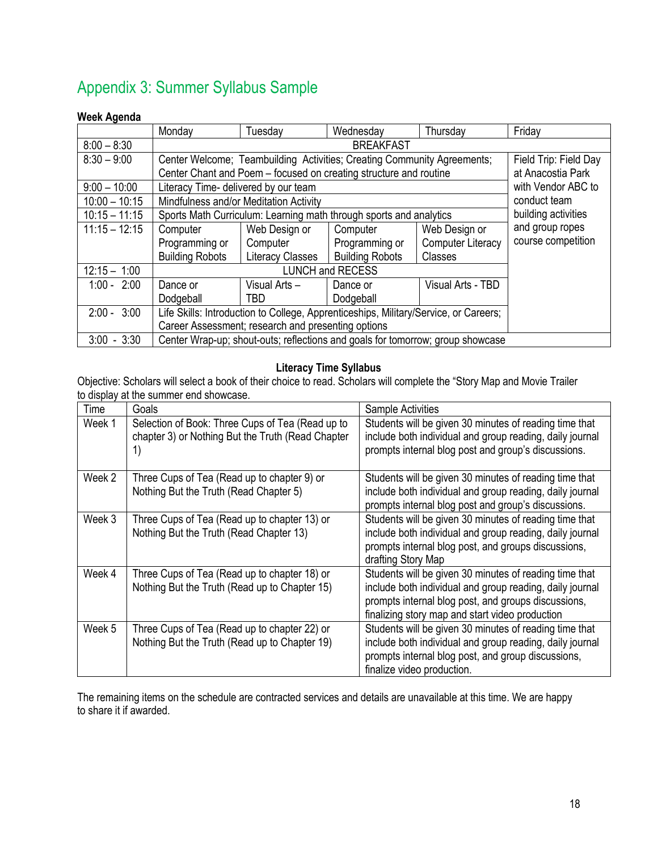## <span id="page-17-0"></span>Appendix 3: Summer Syllabus Sample

#### **Week Agenda**

|                 | Monday                                                                               | Tuesday                                | Wednesday                                                               | Thursday                 | Friday                |  |
|-----------------|--------------------------------------------------------------------------------------|----------------------------------------|-------------------------------------------------------------------------|--------------------------|-----------------------|--|
| $8:00 - 8:30$   |                                                                                      |                                        | <b>BREAKFAST</b>                                                        |                          |                       |  |
| $8:30 - 9:00$   |                                                                                      |                                        | Center Welcome; Teambuilding Activities; Creating Community Agreements; |                          | Field Trip: Field Day |  |
|                 |                                                                                      |                                        | Center Chant and Poem – focused on creating structure and routine       |                          | at Anacostia Park     |  |
| $9:00 - 10:00$  | Literacy Time- delivered by our team                                                 |                                        |                                                                         |                          | with Vendor ABC to    |  |
| $10:00 - 10:15$ |                                                                                      | Mindfulness and/or Meditation Activity |                                                                         |                          | conduct team          |  |
| $10:15 - 11:15$ |                                                                                      |                                        | Sports Math Curriculum: Learning math through sports and analytics      |                          | building activities   |  |
| $11:15 - 12:15$ | Computer                                                                             | Web Design or                          | Computer                                                                | Web Design or            | and group ropes       |  |
|                 | Programming or                                                                       | Computer                               | Programming or                                                          | <b>Computer Literacy</b> | course competition    |  |
|                 | <b>Building Robots</b>                                                               | <b>Literacy Classes</b>                | <b>Building Robots</b>                                                  | Classes                  |                       |  |
| $12:15 - 1:00$  |                                                                                      |                                        | <b>LUNCH and RECESS</b>                                                 |                          |                       |  |
| $1:00 - 2:00$   | Dance or                                                                             | Visual Arts-                           | Dance or                                                                | Visual Arts - TBD        |                       |  |
|                 | Dodgeball                                                                            | <b>TBD</b>                             | Dodgeball                                                               |                          |                       |  |
| $2:00 - 3:00$   | Life Skills: Introduction to College, Apprenticeships, Military/Service, or Careers; |                                        |                                                                         |                          |                       |  |
|                 | Career Assessment; research and presenting options                                   |                                        |                                                                         |                          |                       |  |
| $3:00 - 3:30$   | Center Wrap-up; shout-outs; reflections and goals for tomorrow; group showcase       |                                        |                                                                         |                          |                       |  |

#### **Literacy Time Syllabus**

Objective: Scholars will select a book of their choice to read. Scholars will complete the "Story Map and Movie Trailer to display at the summer end showcase.

| Time   | Goals                                                                                                       | <b>Sample Activities</b>                                                                                                                                                                                                     |
|--------|-------------------------------------------------------------------------------------------------------------|------------------------------------------------------------------------------------------------------------------------------------------------------------------------------------------------------------------------------|
| Week 1 | Selection of Book: Three Cups of Tea (Read up to<br>chapter 3) or Nothing But the Truth (Read Chapter<br>1) | Students will be given 30 minutes of reading time that<br>include both individual and group reading, daily journal<br>prompts internal blog post and group's discussions.                                                    |
| Week 2 | Three Cups of Tea (Read up to chapter 9) or<br>Nothing But the Truth (Read Chapter 5)                       | Students will be given 30 minutes of reading time that<br>include both individual and group reading, daily journal<br>prompts internal blog post and group's discussions.                                                    |
| Week 3 | Three Cups of Tea (Read up to chapter 13) or<br>Nothing But the Truth (Read Chapter 13)                     | Students will be given 30 minutes of reading time that<br>include both individual and group reading, daily journal<br>prompts internal blog post, and groups discussions,<br>drafting Story Map                              |
| Week 4 | Three Cups of Tea (Read up to chapter 18) or<br>Nothing But the Truth (Read up to Chapter 15)               | Students will be given 30 minutes of reading time that<br>include both individual and group reading, daily journal<br>prompts internal blog post, and groups discussions,<br>finalizing story map and start video production |
| Week 5 | Three Cups of Tea (Read up to chapter 22) or<br>Nothing But the Truth (Read up to Chapter 19)               | Students will be given 30 minutes of reading time that<br>include both individual and group reading, daily journal<br>prompts internal blog post, and group discussions,<br>finalize video production.                       |

The remaining items on the schedule are contracted services and details are unavailable at this time. We are happy to share it if awarded.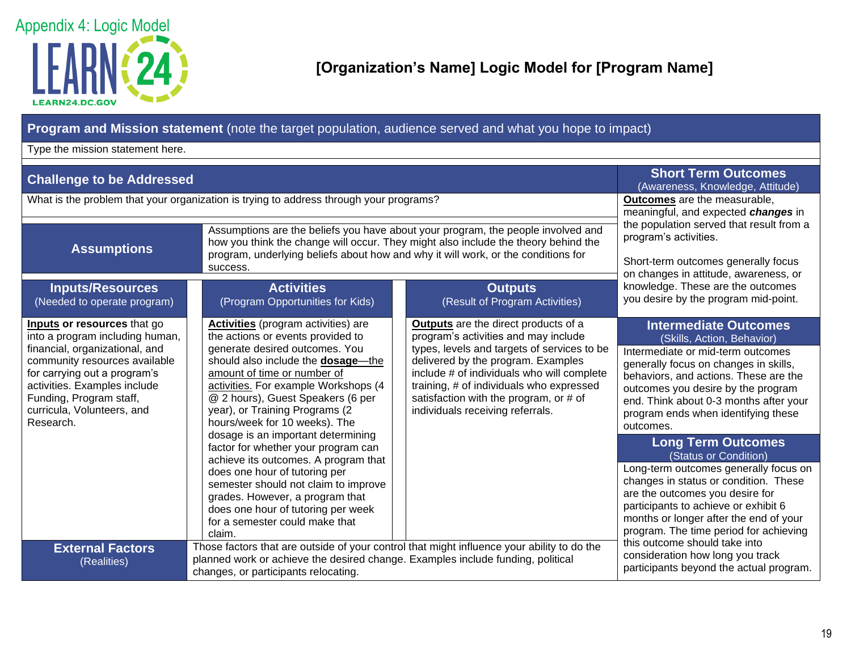

#### **Program and Mission statement** (note the target population, audience served and what you hope to impact)

Type the mission statement here.

<span id="page-18-0"></span>

| <b>Challenge to be Addressed</b>                                                                                                                                                                                                                                        | <b>Short Term Outcomes</b><br>(Awareness, Knowledge, Attitude)                                                                                                                                                                                                                                                                                                                                                                                                                                                                                                                                                                                          |                                                                                                                                                                                                                                                                                                                                           |                                                                                                                                                                                                                                                                                                                                                                                                                                                                                                                                                                                    |
|-------------------------------------------------------------------------------------------------------------------------------------------------------------------------------------------------------------------------------------------------------------------------|---------------------------------------------------------------------------------------------------------------------------------------------------------------------------------------------------------------------------------------------------------------------------------------------------------------------------------------------------------------------------------------------------------------------------------------------------------------------------------------------------------------------------------------------------------------------------------------------------------------------------------------------------------|-------------------------------------------------------------------------------------------------------------------------------------------------------------------------------------------------------------------------------------------------------------------------------------------------------------------------------------------|------------------------------------------------------------------------------------------------------------------------------------------------------------------------------------------------------------------------------------------------------------------------------------------------------------------------------------------------------------------------------------------------------------------------------------------------------------------------------------------------------------------------------------------------------------------------------------|
|                                                                                                                                                                                                                                                                         | What is the problem that your organization is trying to address through your programs?                                                                                                                                                                                                                                                                                                                                                                                                                                                                                                                                                                  |                                                                                                                                                                                                                                                                                                                                           | <b>Outcomes</b> are the measurable,<br>meaningful, and expected changes in                                                                                                                                                                                                                                                                                                                                                                                                                                                                                                         |
| <b>Assumptions</b><br><b>Inputs/Resources</b>                                                                                                                                                                                                                           | Assumptions are the beliefs you have about your program, the people involved and<br>how you think the change will occur. They might also include the theory behind the<br>program, underlying beliefs about how and why it will work, or the conditions for<br>success.<br><b>Activities</b>                                                                                                                                                                                                                                                                                                                                                            | the population served that result from a<br>program's activities.<br>Short-term outcomes generally focus<br>on changes in attitude, awareness, or<br>knowledge. These are the outcomes                                                                                                                                                    |                                                                                                                                                                                                                                                                                                                                                                                                                                                                                                                                                                                    |
| (Needed to operate program)                                                                                                                                                                                                                                             | (Program Opportunities for Kids)                                                                                                                                                                                                                                                                                                                                                                                                                                                                                                                                                                                                                        | <b>Outputs</b><br>(Result of Program Activities)                                                                                                                                                                                                                                                                                          | you desire by the program mid-point.                                                                                                                                                                                                                                                                                                                                                                                                                                                                                                                                               |
| Inputs or resources that go<br>into a program including human,<br>financial, organizational, and<br>community resources available<br>for carrying out a program's<br>activities. Examples include<br>Funding, Program staff,<br>curricula, Volunteers, and<br>Research. | <b>Activities</b> (program activities) are<br>the actions or events provided to<br>generate desired outcomes. You<br>should also include the <b>dosage</b> —the<br>amount of time or number of<br>activities. For example Workshops (4<br>@ 2 hours), Guest Speakers (6 per<br>year), or Training Programs (2<br>hours/week for 10 weeks). The<br>dosage is an important determining<br>factor for whether your program can<br>achieve its outcomes. A program that<br>does one hour of tutoring per<br>semester should not claim to improve<br>grades. However, a program that<br>does one hour of tutoring per week<br>for a semester could make that | Outputs are the direct products of a<br>program's activities and may include<br>types, levels and targets of services to be<br>delivered by the program. Examples<br>include # of individuals who will complete<br>training, # of individuals who expressed<br>satisfaction with the program, or # of<br>individuals receiving referrals. | <b>Intermediate Outcomes</b><br>(Skills, Action, Behavior)<br>Intermediate or mid-term outcomes<br>generally focus on changes in skills,<br>behaviors, and actions. These are the<br>outcomes you desire by the program<br>end. Think about 0-3 months after your<br>program ends when identifying these<br>outcomes.<br><b>Long Term Outcomes</b><br>(Status or Condition)<br>Long-term outcomes generally focus on<br>changes in status or condition. These<br>are the outcomes you desire for<br>participants to achieve or exhibit 6<br>months or longer after the end of your |
| <b>External Factors</b><br>(Realities)                                                                                                                                                                                                                                  | claim.<br>Those factors that are outside of your control that might influence your ability to do the<br>planned work or achieve the desired change. Examples include funding, political<br>changes, or participants relocating.                                                                                                                                                                                                                                                                                                                                                                                                                         | program. The time period for achieving<br>this outcome should take into<br>consideration how long you track<br>participants beyond the actual program.                                                                                                                                                                                    |                                                                                                                                                                                                                                                                                                                                                                                                                                                                                                                                                                                    |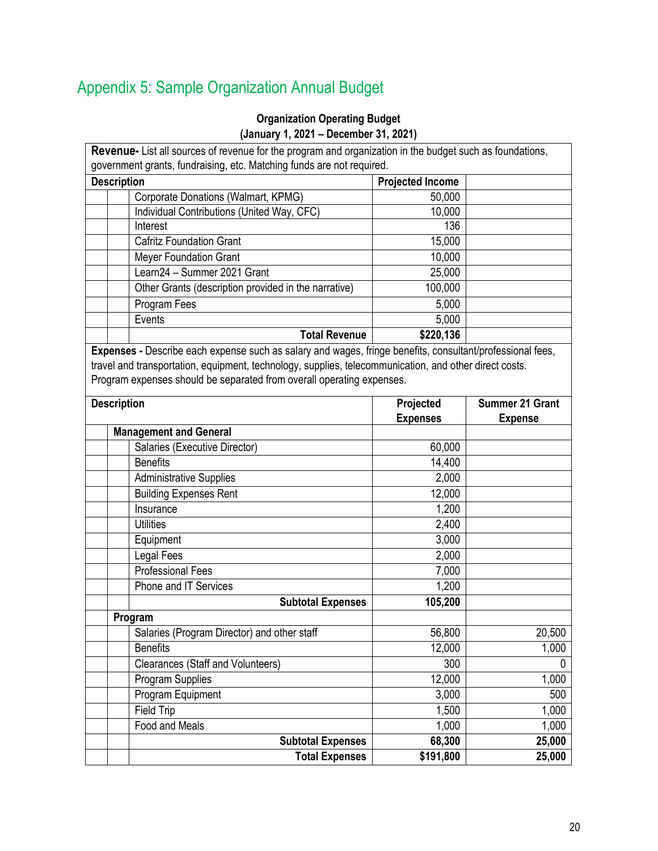## <span id="page-19-0"></span>Appendix 5: Sample Organization Annual Budget

### **Organization Operating Budget (January 1, 2021 – December 31, 2021)**

|                    | Revenue- List all sources of revenue for the program and organization in the budget such as foundations,<br>government grants, fundraising, etc. Matching funds are not required. |                         |                        |  |  |
|--------------------|-----------------------------------------------------------------------------------------------------------------------------------------------------------------------------------|-------------------------|------------------------|--|--|
| <b>Description</b> |                                                                                                                                                                                   | <b>Projected Income</b> |                        |  |  |
|                    | Corporate Donations (Walmart, KPMG)                                                                                                                                               | 50,000                  |                        |  |  |
|                    | Individual Contributions (United Way, CFC)                                                                                                                                        | 10,000                  |                        |  |  |
|                    | Interest                                                                                                                                                                          | 136                     |                        |  |  |
|                    | <b>Cafritz Foundation Grant</b>                                                                                                                                                   | 15,000                  |                        |  |  |
|                    | Meyer Foundation Grant                                                                                                                                                            | 10,000                  |                        |  |  |
|                    | Learn24 - Summer 2021 Grant                                                                                                                                                       | 25,000                  |                        |  |  |
|                    | Other Grants (description provided in the narrative)                                                                                                                              | 100,000                 |                        |  |  |
|                    | Program Fees                                                                                                                                                                      | 5,000                   |                        |  |  |
|                    | Events                                                                                                                                                                            | 5,000                   |                        |  |  |
|                    | <b>Total Revenue</b>                                                                                                                                                              | \$220,136               |                        |  |  |
|                    | Expenses - Describe each expense such as salary and wages, fringe benefits, consultant/professional fees,                                                                         |                         |                        |  |  |
|                    | travel and transportation, equipment, technology, supplies, telecommunication, and other direct costs.                                                                            |                         |                        |  |  |
|                    | Program expenses should be separated from overall operating expenses.                                                                                                             |                         |                        |  |  |
|                    |                                                                                                                                                                                   |                         |                        |  |  |
| <b>Description</b> |                                                                                                                                                                                   | Projected               | <b>Summer 21 Grant</b> |  |  |
|                    | <b>Management and General</b>                                                                                                                                                     | <b>Expenses</b>         | <b>Expense</b>         |  |  |
|                    | Salaries (Executive Director)                                                                                                                                                     | 60,000                  |                        |  |  |
|                    | <b>Benefits</b>                                                                                                                                                                   | 14,400                  |                        |  |  |
|                    | <b>Administrative Supplies</b>                                                                                                                                                    | 2,000                   |                        |  |  |
|                    | <b>Building Expenses Rent</b>                                                                                                                                                     | 12,000                  |                        |  |  |
|                    | Insurance                                                                                                                                                                         | 1,200                   |                        |  |  |
|                    | <b>Utilities</b>                                                                                                                                                                  | 2,400                   |                        |  |  |
|                    | Equipment                                                                                                                                                                         | 3,000                   |                        |  |  |
|                    | <b>Legal Fees</b>                                                                                                                                                                 | 2,000                   |                        |  |  |
|                    | <b>Professional Fees</b>                                                                                                                                                          | 7,000                   |                        |  |  |
|                    | Phone and IT Services                                                                                                                                                             | 1,200                   |                        |  |  |
|                    | <b>Subtotal Expenses</b>                                                                                                                                                          | 105,200                 |                        |  |  |
|                    | Program                                                                                                                                                                           |                         |                        |  |  |
|                    | Salaries (Program Director) and other staff                                                                                                                                       | 56,800                  | 20,500                 |  |  |
|                    | <b>Benefits</b>                                                                                                                                                                   | 12,000                  | 1,000                  |  |  |
|                    | <b>Clearances (Staff and Volunteers)</b>                                                                                                                                          | 300                     | $\Omega$               |  |  |
|                    | <b>Program Supplies</b>                                                                                                                                                           | 12,000                  | 1,000                  |  |  |
|                    | Program Equipment                                                                                                                                                                 | 3,000                   | 500                    |  |  |
|                    | Field Trip                                                                                                                                                                        | 1,500                   | 1,000                  |  |  |
|                    | Food and Meals                                                                                                                                                                    | 1,000                   | 1,000                  |  |  |
|                    | <b>Subtotal Expenses</b>                                                                                                                                                          | 68,300                  | 25,000                 |  |  |
|                    | <b>Total Expenses</b>                                                                                                                                                             | \$191,800               | 25,000                 |  |  |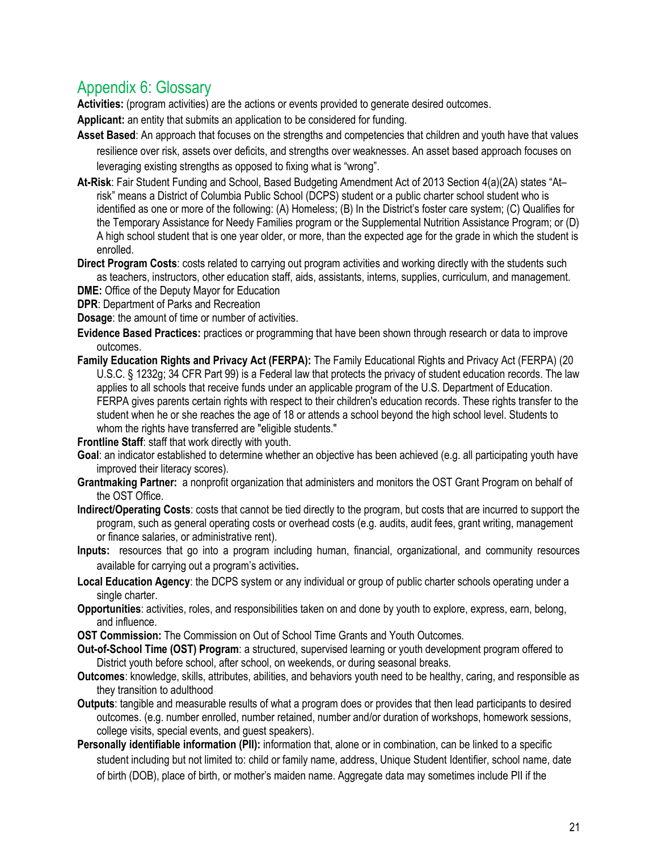## <span id="page-20-0"></span>Appendix 6: Glossary

**Activities:** (program activities) are the actions or events provided to generate desired outcomes.

**Applicant:** an entity that submits an application to be considered for funding.

- **Asset Based**: An approach that focuses on the strengths and competencies that children and youth have that values resilience over risk, assets over deficits, and strengths over weaknesses. An asset based approach focuses on leveraging existing strengths as opposed to fixing what is "wrong".
- **At-Risk**: Fair Student Funding and School, Based Budgeting Amendment Act of 2013 Section 4(a)(2A) states "At– risk" means a District of Columbia Public School (DCPS) student or a public charter school student who is identified as one or more of the following: (A) Homeless; (B) In the District's foster care system; (C) Qualifies for the Temporary Assistance for Needy Families program or the Supplemental Nutrition Assistance Program; or (D) A high school student that is one year older, or more, than the expected age for the grade in which the student is enrolled.
- **Direct Program Costs**: costs related to carrying out program activities and working directly with the students such as teachers, instructors, other education staff, aids, assistants, interns, supplies, curriculum, and management.
- **DME:** Office of the Deputy Mayor for Education
- **DPR**: Department of Parks and Recreation
- **Dosage**: the amount of time or number of activities.
- **Evidence Based Practices:** practices or programming that have been shown through research or data to improve outcomes.
- **Family Education Rights and Privacy Act (FERPA):** The Family Educational Rights and Privacy Act (FERPA) (20 U.S.C. § 1232g; 34 CFR Part 99) is a Federal law that protects the privacy of student education records. The law applies to all schools that receive funds under an applicable program of the U.S. Department of Education. FERPA gives parents certain rights with respect to their children's education records. These rights transfer to the student when he or she reaches the age of 18 or attends a school beyond the high school level. Students to whom the rights have transferred are "eligible students."

**Frontline Staff**: staff that work directly with youth.

- **Goal**: an indicator established to determine whether an objective has been achieved (e.g. all participating youth have improved their literacy scores).
- **Grantmaking Partner:** a nonprofit organization that administers and monitors the OST Grant Program on behalf of the OST Office.
- **Indirect/Operating Costs**: costs that cannot be tied directly to the program, but costs that are incurred to support the program, such as general operating costs or overhead costs (e.g. audits, audit fees, grant writing, management or finance salaries, or administrative rent).
- **Inputs:** resources that go into a program including human, financial, organizational, and community resources available for carrying out a program's activities**.**
- **Local Education Agency**: the DCPS system or any individual or group of public charter schools operating under a single charter.
- **Opportunities**: activities, roles, and responsibilities taken on and done by youth to explore, express, earn, belong, and influence.
- **OST Commission:** The Commission on Out of School Time Grants and Youth Outcomes.
- **Out-of-School Time (OST) Program**: a structured, supervised learning or youth development program offered to District youth before school, after school, on weekends, or during seasonal breaks.
- **Outcomes**: knowledge, skills, attributes, abilities, and behaviors youth need to be healthy, caring, and responsible as they transition to adulthood
- **Outputs**: tangible and measurable results of what a program does or provides that then lead participants to desired outcomes. (e.g. number enrolled, number retained, number and/or duration of workshops, homework sessions, college visits, special events, and guest speakers).
- **Personally identifiable information (PII):** information that, alone or in combination, can be linked to a specific student including but not limited to: child or family name, address, Unique Student Identifier, school name, date of birth (DOB), place of birth, or mother's maiden name. Aggregate data may sometimes include PII if the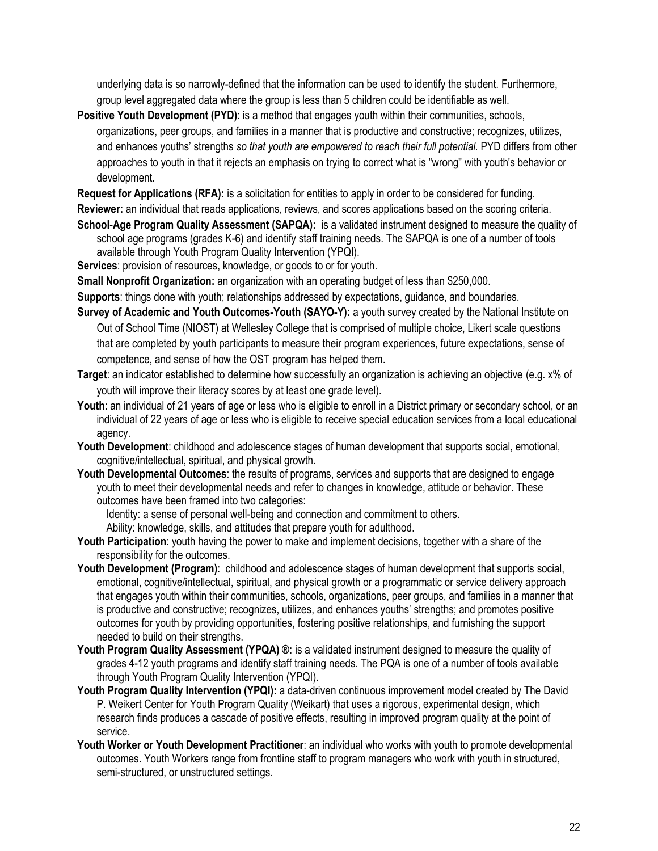underlying data is so narrowly-defined that the information can be used to identify the student. Furthermore, group level aggregated data where the group is less than 5 children could be identifiable as well.

**Positive Youth Development (PYD)**: is a method that engages youth within their communities, schools, organizations, peer groups, and families in a manner that is productive and constructive; recognizes, utilizes, and enhances youths' strengths *so that youth are empowered to reach their full potential.* PYD differs from other approaches to youth in that it rejects an emphasis on trying to correct what is "wrong" with youth's behavior or development.

**Request for Applications (RFA):** is a solicitation for entities to apply in order to be considered for funding.

**Reviewer:** an individual that reads applications, reviews, and scores applications based on the scoring criteria.

**School-Age Program Quality Assessment (SAPQA):** is a validated instrument designed to measure the quality of school age programs (grades K-6) and identify staff training needs. The SAPQA is one of a number of tools available through Youth Program Quality Intervention (YPQI).

**Services**: provision of resources, knowledge, or goods to or for youth.

**Small Nonprofit Organization:** an organization with an operating budget of less than \$250,000.

**Supports**: things done with youth; relationships addressed by expectations, guidance, and boundaries.

- **Survey of Academic and Youth Outcomes-Youth (SAYO-Y):** a youth survey created by the National Institute on Out of School Time (NIOST) at Wellesley College that is comprised of multiple choice, Likert scale questions that are completed by youth participants to measure their program experiences, future expectations, sense of competence, and sense of how the OST program has helped them.
- **Target**: an indicator established to determine how successfully an organization is achieving an objective (e.g. x% of youth will improve their literacy scores by at least one grade level).
- Youth: an individual of 21 years of age or less who is eligible to enroll in a District primary or secondary school, or an individual of 22 years of age or less who is eligible to receive special education services from a local educational agency.
- **Youth Development**: childhood and adolescence stages of human development that supports social, emotional, cognitive/intellectual, spiritual, and physical growth.
- **Youth Developmental Outcomes**: the results of programs, services and supports that are designed to engage youth to meet their developmental needs and refer to changes in knowledge, attitude or behavior. These outcomes have been framed into two categories:

Identity: a sense of personal well-being and connection and commitment to others.

Ability: knowledge, skills, and attitudes that prepare youth for adulthood.

- **Youth Participation**: youth having the power to make and implement decisions, together with a share of the responsibility for the outcomes.
- **Youth Development (Program)**: childhood and adolescence stages of human development that supports social, emotional, cognitive/intellectual, spiritual, and physical growth or a programmatic or service delivery approach that engages youth within their communities, schools, organizations, peer groups, and families in a manner that is productive and constructive; recognizes, utilizes, and enhances youths' strengths; and promotes positive outcomes for youth by providing opportunities, fostering positive relationships, and furnishing the support needed to build on their strengths.
- Youth Program Quality Assessment (YPQA) ®: is a validated instrument designed to measure the quality of grades 4-12 youth programs and identify staff training needs. The PQA is one of a number of tools available through Youth Program Quality Intervention (YPQI).
- **Youth Program Quality Intervention (YPQI):** a data-driven continuous improvement model created by The David P. Weikert Center for Youth Program Quality (Weikart) that uses a rigorous, experimental design, which research finds produces a cascade of positive effects, resulting in improved program quality at the point of service.
- **Youth Worker or Youth Development Practitioner**: an individual who works with youth to promote developmental outcomes. Youth Workers range from frontline staff to program managers who work with youth in structured, semi-structured, or unstructured settings.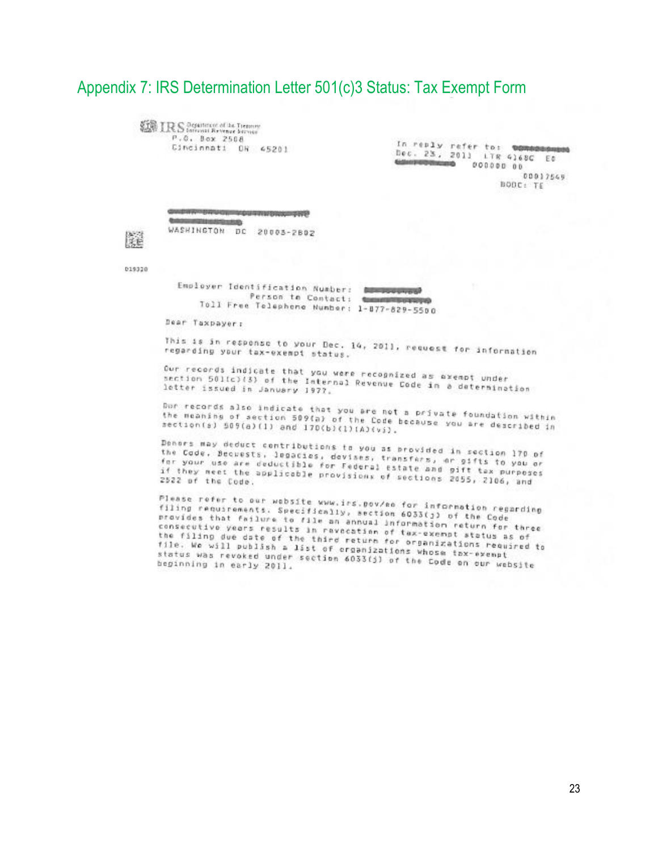### <span id="page-22-0"></span>Appendix 7: IRS Determination Letter 501(c)3 Status: Tax Exempt Form

**ERS** Department of the Themany P.O. Box 2508 Cincinnati OR 45201

In reply refer to: 000000000000 Dec. 23, 2011 LTR 4168C Et **Galerine Distances**  $000000000$ 00017549 BODC: TE

**THE PROJECT RESISTENCE** WASHINGTON DC 20003-2802

019320

朦

Employer Identification Number: **Service School Contract Man** Person to Contact: the communication Toll Free Telephone Number: 1-877-829-5500

Dear Taxpayer:

This is in response to your Dec. 14, 2011, request for information regarding your tax-exempt status.

Our records indicate that you were recognized as exempt under<br>section 501(c)(3) of the Internal Demonstrated as exempt under ser records indicate that you were recognized as exempt under<br>section 501(c)(3) of the Internal Revenue Code in a determination<br>letter issued in January 1977, letter issued in January 1977.

Dor records also indicate that you are not a private foundation within the meaning of section 509(a) of the Code because you are described in<br>the meaning of section 509(a) of the Code because you are described in section(s) 509(a)(1) and 170(b)(1)(A)(vi).

Denors may deduct contributions to you as provided in section 170 of the Code. Becuests, legacies, devises, transfers, er gifts to you or the coor. Decrests, legacies, devises, transfers, or gifts to you or<br>for your use are deductible for Federal Estate and gift tax purposes if they meet the applicable for Federal estate and pift tax purpose<br>if they meet the applicable provisions of sections 2055, 2106, and 2522 of the Code.

Please refer to our website www.irs.pov/ee for information regarding<br>filing requirements. Specifically, section 6033(j) of the Code<br>provides that failure to file an annual information - the Code railly requirements. Specifically, section 6033(j) of the Code<br>provides that failure to file an annual information return for three<br>consecutivo years results in revocation of taximation return for three consecutivo years results in ravacation of tax-exempt status as of<br>the filing due date of the third return for assempt status as of the filing due date of the third return of tax-exempt status as of<br>the filing due date of the third return for organizations required to<br>file. We will publish a list of organizations whoisetions required to Tile. We will publish a list of return for organizations requ<br>Tile. We will publish a list of croanizations whose tox-exempt status was revoked under section 6033(j) of the Code on our website<br>beginning in early 2011. beginning in early 2011.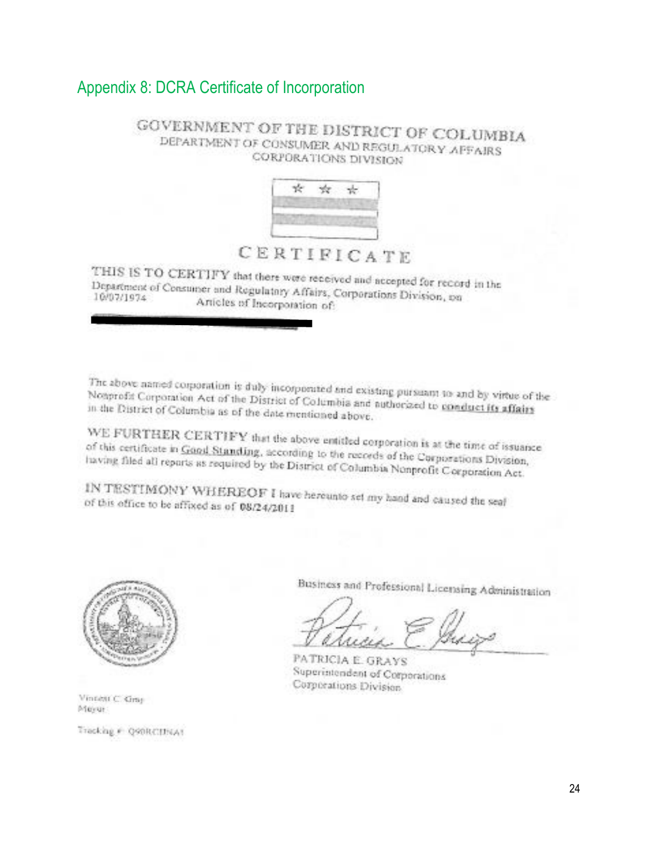### <span id="page-23-0"></span>Appendix 8: DCRA Certificate of Incorporation

#### GOVERNMENT OF THE DISTRICT OF COLUMBIA DEPARTMENT OF CONSUMER AND REGULATORY AFFAIRS CORPORATIONS DIVISION



## CERTIFICATE

THIS IS TO CERTIFY that there were received and accepted for record in the Department of Consumer and Regulations Africa. Department of Consumer and Regulatory Affairs, Corporations Division, on<br>10/07/1974 Articles of Instrumental Regulatory Articles of Incorporation of:

The above named corporation is duly incorporated and existing pursuant to and by virtue of the<br>Notiprofit Corporation Act of the District of Columbia and cut-Nonprofit Corporation Act of the District of Columbia and authorized to sand by virtue of the District of Columbia and authorized to conduct its affairs in the District of Columbia as of the date mentioned above.

WE FURTHER CERTIFY that the above entitled corporation is at the time of issuance of this certificate in Good Standing, according to the records of the Corporations Division,<br>having filed all reports as required by the Diemer of Calculated the Corporations Division, having filed all reports as required by the District of Columbia Nonprofit Corporations Division,

IN TESTIMONY WHEREOF I have hereunto set my hand and caused the seaf of this office to be affixed as of 08/24/2011



Vintett C. Gray Meyer

Tracking # Q90RCIINA1

Business and Professional Licensing Administration

PATRICIA E. GRAYS Superintendent of Corporations Corporations Division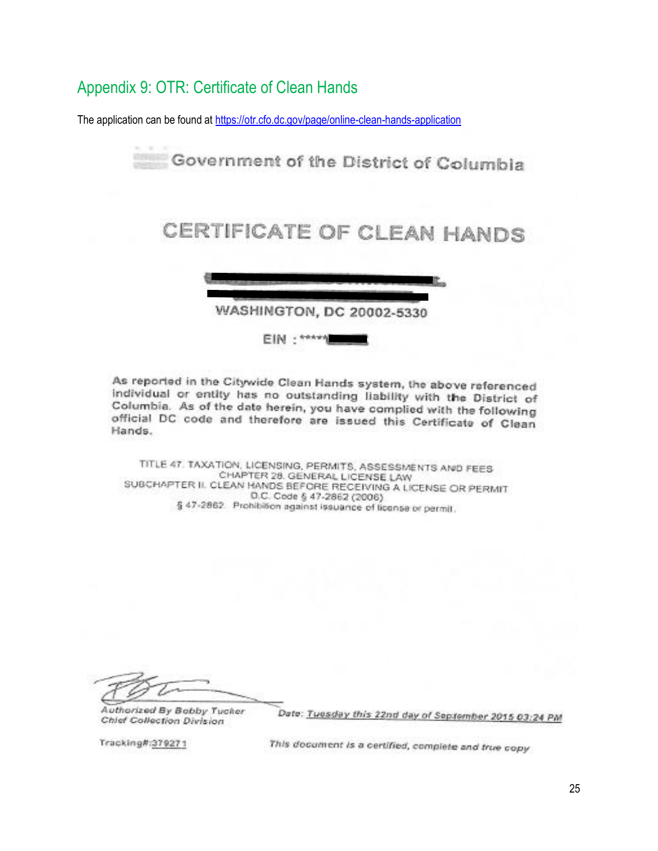### <span id="page-24-0"></span>Appendix 9: OTR: Certificate of Clean Hands

The application can be found at<https://otr.cfo.dc.gov/page/online-clean-hands-application>



As reported in the Citywide Clean Hands system, the above referenced individual or entity has no outstanding liability with the District of Columbia. As of the date herein, you have complied with the following official DC code and therefore are issued this Certificate of Clean Hands.

TITLE 47. TAXATION, LICENSING, PERMITS, ASSESSMENTS AND FEES CHAPTER 28. GENERAL LICENSE LAW SUBCHAPTER IL CLEAN HANDS BEFORE RECEIVING A LICENSE OR PERMIT D.C. Code § 47-2862 (2006) § 47-2862. Prohibition against issuance of license or permit.

Authorized By Bobby Tucker Chief Collection Division

Date: Tuesday this 22nd day of September 2015 03:24 PM

Tracking#:379271

This document is a certified, complete and true copy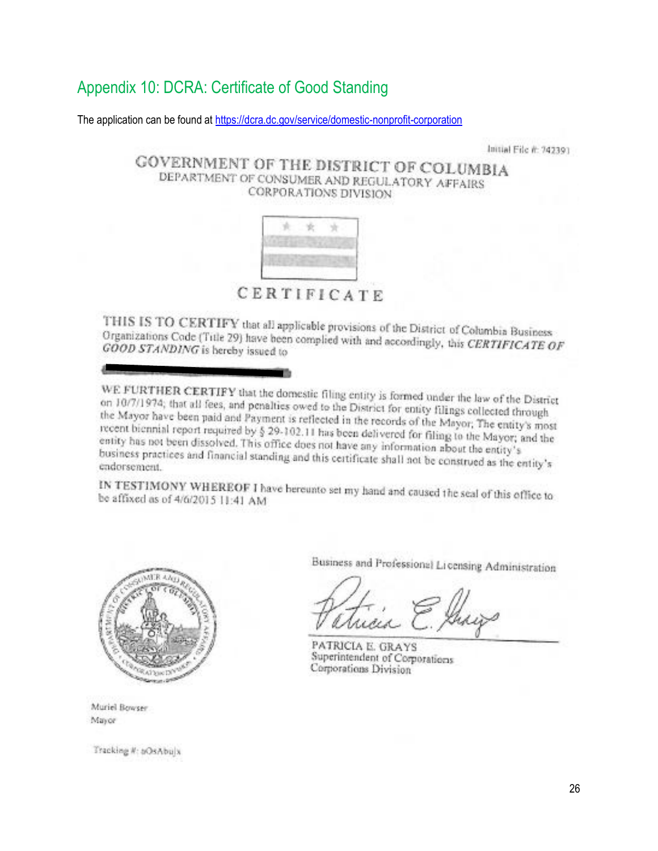## <span id="page-25-0"></span>Appendix 10: DCRA: Certificate of Good Standing

The application can be found at<https://dcra.dc.gov/service/domestic-nonprofit-corporation>

Initial File #: 742391

#### **GOVERNMENT OF THE DISTRICT OF COLUMBIA** DEPARTMENT OF CONSUMER AND REGULATORY AFFAIRS CORPORATIONS DIVISION



CERTIFICATE

THIS IS TO CERTIFY that all applicable provisions of the District of Columbia Business Organizations Code (Title 29) have been complied with and accordingly, this CERTIFICATE OF GOOD STANDING is hereby issued to

WE FURTHER CERTIFY that the domestic filing entity is formed under the law of the District<br>on 10/7/1974: that all fees, and penaltier qued to the District on 10/7/1974; that all fees, and penalties owed to the District for entity filings collected through<br>the Mayor have been naid and Payment is collected in the USB filings collected through the Mayor have been paid and Payment is reflected in the records of the Mayor; The entity's most recent biennial report required by § 29-102.11 has been delivered for filing to the Mayor; and the<br>entity has not been dissolved. This office does not been delivered for filing to the Mayor; and the entity has not been dissolved. This office does not have any information about the Mayor; a<br>business practices and financial area.<sup>1</sup> business practices and financial standing and this certificate shall not be construed as the entity's<br>endorsement. endorsement.

IN TESTIMONY WHEREOF I have bereunto set my hand and caused the seal of this office to be affixed as of 4/6/2015 11:41 AM be affixed as of 4/6/2015 11:41 AM



Muriel Bowser Mayor

Tracking #: bOsAbulx

Business and Professional Licensing Administration

PATRICIA E. GRAYS Superintendent of Corporations Corporations Division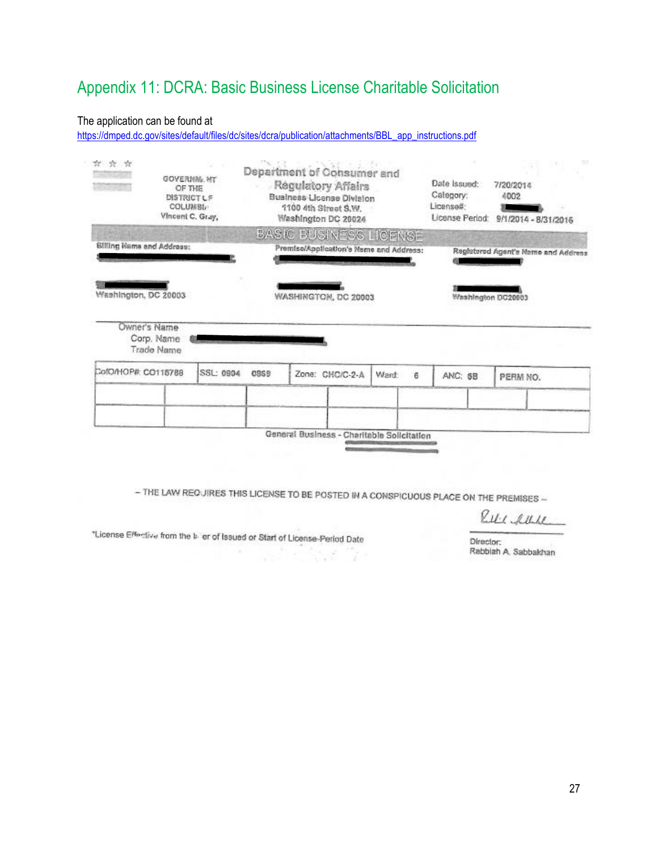## <span id="page-26-0"></span>Appendix 11: DCRA: Basic Business License Charitable Solicitation

#### The application can be found at

[https://dmped.dc.gov/sites/default/files/dc/sites/dcra/publication/attachments/BBL\\_app\\_instructions.pdf](https://dmped.dc.gov/sites/default/files/dc/sites/dcra/publication/attachments/BBL_app_instructions.pdf)

| 京京京<br><b>ALCOHOL:</b>    | <b>GOVERNML MT</b><br>OF THE<br><b>DISTRICTLF</b><br>COLUMBL-<br>Vincent C. Gray, |           | Department of Consumer and<br>Regulatory Affairs<br>Business License Division<br>1100 4th Street S.W.<br>Washington DC 20024 |  | Date Issued:<br>Category:<br>Licensed:     | 7/20/2014<br>4002<br>License Period: 9/1/2014 - 8/31/2016 |   |         |                                     |
|---------------------------|-----------------------------------------------------------------------------------|-----------|------------------------------------------------------------------------------------------------------------------------------|--|--------------------------------------------|-----------------------------------------------------------|---|---------|-------------------------------------|
|                           |                                                                                   |           |                                                                                                                              |  | BASIC BUSINESS LICENSE                     |                                                           |   |         |                                     |
| Billing Hame and Address: |                                                                                   |           |                                                                                                                              |  | Premise/Application's Name and Address:    |                                                           |   |         | Registered Agent's Name and Address |
| Washington, DC 20003      |                                                                                   |           |                                                                                                                              |  | WASHINGTON, DC 20003                       |                                                           |   |         | Washington DC20003                  |
|                           | Owner's Name<br>Corp. Name<br>Trade Name                                          |           |                                                                                                                              |  |                                            |                                                           |   |         |                                     |
| CofO/HOP#: CO115788       |                                                                                   | SSL: 0904 | 0369                                                                                                                         |  | Zone: CHC/C-2-A                            | Ward:                                                     | Ĕ | ANC: 6B | PERM NO.                            |
|                           |                                                                                   |           |                                                                                                                              |  |                                            |                                                           |   |         |                                     |
|                           |                                                                                   |           |                                                                                                                              |  | General Business - Charitable Solicitation |                                                           |   |         |                                     |

- THE LAW REQUIRES THIS LICENSE TO BE POSTED IN A CONSPICUOUS PLACE ON THE PREMISES -

RULL AULE

"License Effective from the biller of Issued or Start of License-Period Date 

W.

Director: Rabbiah A. Sabbakhan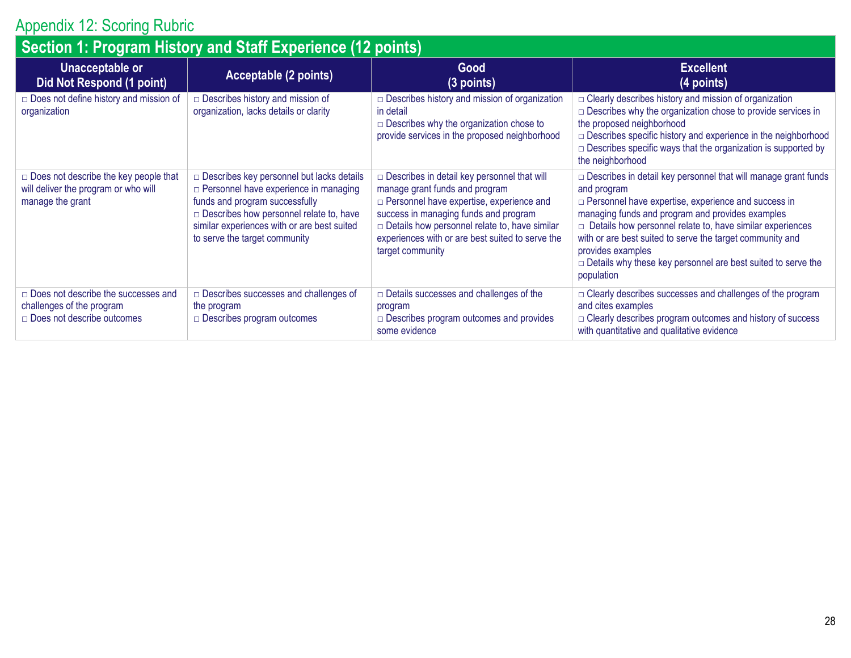## Appendix 12: Scoring Rubric

<span id="page-27-0"></span>

| Section 1: Program History and Staff Experience (12 points)                                                  |                                                                                                                                                                                                                                                                 |                                                                                                                                                                                                                                                                                                                  |                                                                                                                                                                                                                                                                                                                                                                                                                                                   |  |  |  |  |
|--------------------------------------------------------------------------------------------------------------|-----------------------------------------------------------------------------------------------------------------------------------------------------------------------------------------------------------------------------------------------------------------|------------------------------------------------------------------------------------------------------------------------------------------------------------------------------------------------------------------------------------------------------------------------------------------------------------------|---------------------------------------------------------------------------------------------------------------------------------------------------------------------------------------------------------------------------------------------------------------------------------------------------------------------------------------------------------------------------------------------------------------------------------------------------|--|--|--|--|
| <b>Unacceptable or</b><br>Did Not Respond (1 point)                                                          | Acceptable (2 points)                                                                                                                                                                                                                                           | Good<br>(3 points)                                                                                                                                                                                                                                                                                               | <b>Excellent</b><br>(4 points)                                                                                                                                                                                                                                                                                                                                                                                                                    |  |  |  |  |
| $\Box$ Does not define history and mission of<br>organization                                                | $\Box$ Describes history and mission of<br>organization, lacks details or clarity                                                                                                                                                                               | $\Box$ Describes history and mission of organization<br>in detail<br>$\Box$ Describes why the organization chose to<br>provide services in the proposed neighborhood                                                                                                                                             | $\Box$ Clearly describes history and mission of organization<br>$\Box$ Describes why the organization chose to provide services in<br>the proposed neighborhood<br>$\Box$ Describes specific history and experience in the neighborhood<br>$\Box$ Describes specific ways that the organization is supported by<br>the neighborhood                                                                                                               |  |  |  |  |
| $\Box$ Does not describe the key people that<br>will deliver the program or who will<br>manage the grant     | □ Describes key personnel but lacks details<br>$\Box$ Personnel have experience in managing<br>funds and program successfully<br>$\Box$ Describes how personnel relate to, have<br>similar experiences with or are best suited<br>to serve the target community | $\Box$ Describes in detail key personnel that will<br>manage grant funds and program<br>$\Box$ Personnel have expertise, experience and<br>success in managing funds and program<br>$\Box$ Details how personnel relate to, have similar<br>experiences with or are best suited to serve the<br>target community | $\Box$ Describes in detail key personnel that will manage grant funds<br>and program<br>$\Box$ Personnel have expertise, experience and success in<br>managing funds and program and provides examples<br>$\Box$ Details how personnel relate to, have similar experiences<br>with or are best suited to serve the target community and<br>provides examples<br>$\Box$ Details why these key personnel are best suited to serve the<br>population |  |  |  |  |
| $\Box$ Does not describe the successes and<br>challenges of the program<br>$\Box$ Does not describe outcomes | $\Box$ Describes successes and challenges of<br>the program<br>$\Box$ Describes program outcomes                                                                                                                                                                | $\Box$ Details successes and challenges of the<br>program<br>$\Box$ Describes program outcomes and provides<br>some evidence                                                                                                                                                                                     | $\Box$ Clearly describes successes and challenges of the program<br>and cites examples<br>$\Box$ Clearly describes program outcomes and history of success<br>with quantitative and qualitative evidence                                                                                                                                                                                                                                          |  |  |  |  |